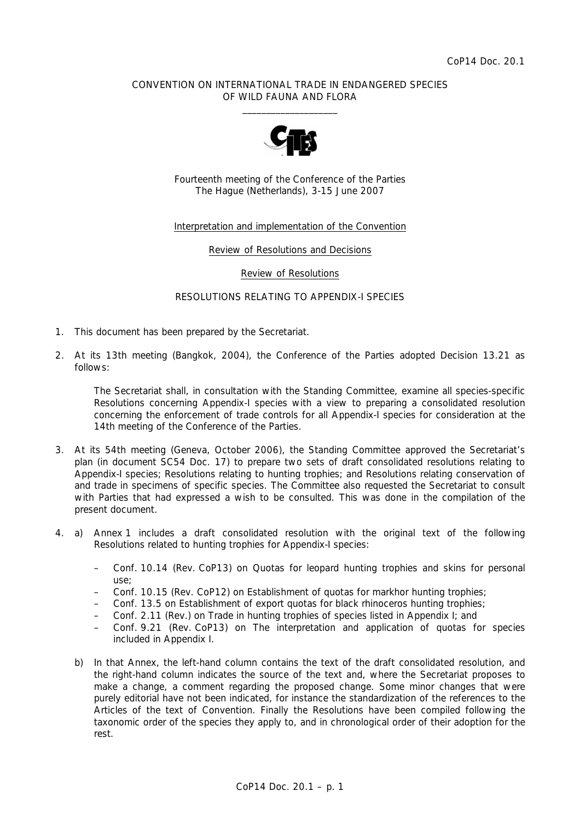## CONVENTION ON INTERNATIONAL TRADE IN ENDANGERED SPECIES OF WILD FAUNA AND FLORA  $\frac{1}{2}$  , and the set of the set of the set of the set of the set of the set of the set of the set of the set of the set of the set of the set of the set of the set of the set of the set of the set of the set of the set



Fourteenth meeting of the Conference of the Parties The Hague (Netherlands), 3-15 June 2007

## Interpretation and implementation of the Convention

Review of Resolutions and Decisions

Review of Resolutions

## RESOLUTIONS RELATING TO APPENDIX-I SPECIES

- 1. This document has been prepared by the Secretariat.
- 2. At its 13th meeting (Bangkok, 2004), the Conference of the Parties adopted Decision 13.21 as follows:

 *The Secretariat shall, in consultation with the Standing Committee, examine all species-specific Resolutions concerning Appendix-I species with a view to preparing a consolidated resolution concerning the enforcement of trade controls for all Appendix-I species for consideration at the 14th meeting of the Conference of the Parties.* 

- 3. At its 54th meeting (Geneva, October 2006), the Standing Committee approved the Secretariat's plan (in document SC54 Doc. 17) to prepare two sets of draft consolidated resolutions relating to Appendix-I species; Resolutions relating to hunting trophies; and Resolutions relating conservation of and trade in specimens of specific species. The Committee also requested the Secretariat to consult with Parties that had expressed a wish to be consulted. This was done in the compilation of the present document.
- 4. a) Annex 1 includes a draft consolidated resolution with the original text of the following Resolutions related to hunting trophies for Appendix-I species:
	- Conf. 10.14 (Rev. CoP13) on Quotas for leopard hunting trophies and skins for personal use;
	- Conf. 10.15 (Rev. CoP12) on Establishment of quotas for markhor hunting trophies;
	- Conf. 13.5 on Establishment of export quotas for black rhinoceros hunting trophies;
	- Conf. 2.11 (Rev.) on Trade in hunting trophies of species listed in Appendix I; and
	- Conf. 9.21 (Rev. CoP13) on The interpretation and application of quotas for species included in Appendix I.
	- b) In that Annex, the left-hand column contains the text of the draft consolidated resolution, and the right-hand column indicates the source of the text and, where the Secretariat proposes to make a change, a comment regarding the proposed change. Some minor changes that were purely editorial have not been indicated, for instance the standardization of the references to the Articles of the text of Convention. Finally the Resolutions have been compiled following the taxonomic order of the species they apply to, and in chronological order of their adoption for the rest.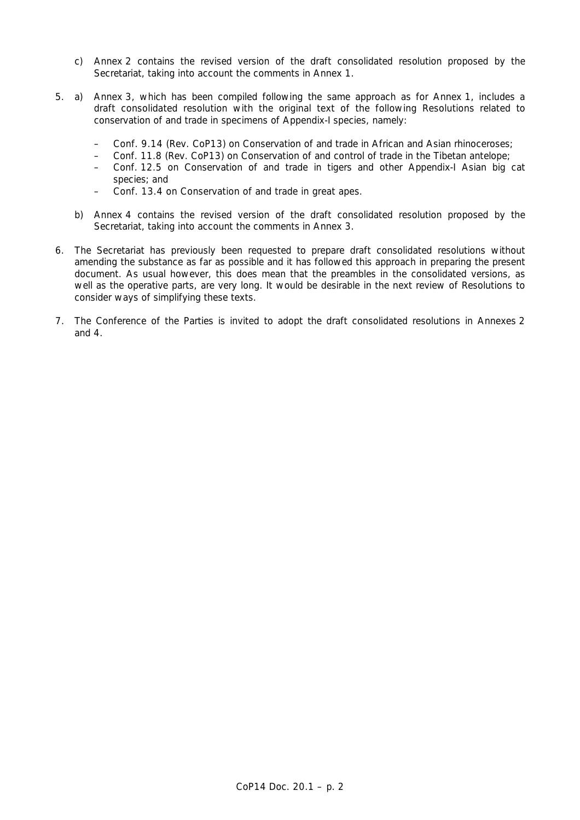- c) Annex 2 contains the revised version of the draft consolidated resolution proposed by the Secretariat, taking into account the comments in Annex 1.
- 5. a) Annex 3, which has been compiled following the same approach as for Annex 1, includes a draft consolidated resolution with the original text of the following Resolutions related to conservation of and trade in specimens of Appendix-I species, namely:
	- Conf. 9.14 (Rev. CoP13) on Conservation of and trade in African and Asian rhinoceroses;
	- Conf. 11.8 (Rev. CoP13) on Conservation of and control of trade in the Tibetan antelope;
	- Conf. 12.5 on Conservation of and trade in tigers and other Appendix-I Asian big cat species; and
	- Conf. 13.4 on Conservation of and trade in great apes.
	- b) Annex 4 contains the revised version of the draft consolidated resolution proposed by the Secretariat, taking into account the comments in Annex 3.
- 6. The Secretariat has previously been requested to prepare draft consolidated resolutions without amending the substance as far as possible and it has followed this approach in preparing the present document. As usual however, this does mean that the preambles in the consolidated versions, as well as the operative parts, are very long. It would be desirable in the next review of Resolutions to consider ways of simplifying these texts.
- 7. The Conference of the Parties is invited to adopt the draft consolidated resolutions in Annexes 2 and 4.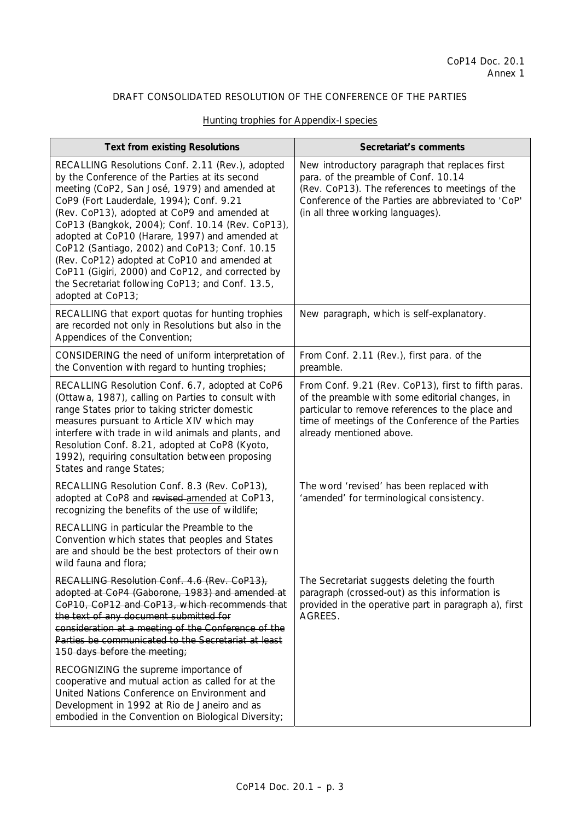|  | Hunting trophies for Appendix-I species |  |
|--|-----------------------------------------|--|
|  |                                         |  |

| <b>Text from existing Resolutions</b>                                                                                                                                                                                                                                                                                                                                                                                                                                                                                                                                               | Secretariat's comments                                                                                                                                                                                                                      |
|-------------------------------------------------------------------------------------------------------------------------------------------------------------------------------------------------------------------------------------------------------------------------------------------------------------------------------------------------------------------------------------------------------------------------------------------------------------------------------------------------------------------------------------------------------------------------------------|---------------------------------------------------------------------------------------------------------------------------------------------------------------------------------------------------------------------------------------------|
| RECALLING Resolutions Conf. 2.11 (Rev.), adopted<br>by the Conference of the Parties at its second<br>meeting (CoP2, San José, 1979) and amended at<br>CoP9 (Fort Lauderdale, 1994); Conf. 9.21<br>(Rev. CoP13), adopted at CoP9 and amended at<br>CoP13 (Bangkok, 2004); Conf. 10.14 (Rev. CoP13),<br>adopted at CoP10 (Harare, 1997) and amended at<br>CoP12 (Santiago, 2002) and CoP13; Conf. 10.15<br>(Rev. CoP12) adopted at CoP10 and amended at<br>CoP11 (Gigiri, 2000) and CoP12, and corrected by<br>the Secretariat following CoP13; and Conf. 13.5,<br>adopted at CoP13; | New introductory paragraph that replaces first<br>para. of the preamble of Conf. 10.14<br>(Rev. CoP13). The references to meetings of the<br>Conference of the Parties are abbreviated to 'CoP'<br>(in all three working languages).        |
| RECALLING that export quotas for hunting trophies<br>are recorded not only in Resolutions but also in the<br>Appendices of the Convention;                                                                                                                                                                                                                                                                                                                                                                                                                                          | New paragraph, which is self-explanatory.                                                                                                                                                                                                   |
| CONSIDERING the need of uniform interpretation of<br>the Convention with regard to hunting trophies;                                                                                                                                                                                                                                                                                                                                                                                                                                                                                | From Conf. 2.11 (Rev.), first para. of the<br>preamble.                                                                                                                                                                                     |
| RECALLING Resolution Conf. 6.7, adopted at CoP6<br>(Ottawa, 1987), calling on Parties to consult with<br>range States prior to taking stricter domestic<br>measures pursuant to Article XIV which may<br>interfere with trade in wild animals and plants, and<br>Resolution Conf. 8.21, adopted at CoP8 (Kyoto,<br>1992), requiring consultation between proposing<br>States and range States;                                                                                                                                                                                      | From Conf. 9.21 (Rev. CoP13), first to fifth paras.<br>of the preamble with some editorial changes, in<br>particular to remove references to the place and<br>time of meetings of the Conference of the Parties<br>already mentioned above. |
| RECALLING Resolution Conf. 8.3 (Rev. CoP13),<br>adopted at CoP8 and revised-amended at CoP13,<br>recognizing the benefits of the use of wildlife;                                                                                                                                                                                                                                                                                                                                                                                                                                   | The word 'revised' has been replaced with<br>'amended' for terminological consistency.                                                                                                                                                      |
| RECALLING in particular the Preamble to the<br>Convention which states that peoples and States<br>are and should be the best protectors of their own<br>wild fauna and flora;                                                                                                                                                                                                                                                                                                                                                                                                       |                                                                                                                                                                                                                                             |
| RECALLING Resolution Conf. 4.6 (Rev. CoP13),<br>adopted at CoP4 (Gaborone, 1983) and amended at<br>CoP10, CoP12 and CoP13, which recommends that<br>the text of any document submitted for<br>consideration at a meeting of the Conference of the<br>Parties be communicated to the Secretariat at least<br>150 days before the meeting;                                                                                                                                                                                                                                            | The Secretariat suggests deleting the fourth<br>paragraph (crossed-out) as this information is<br>provided in the operative part in paragraph a), first<br>AGREES.                                                                          |
| RECOGNIZING the supreme importance of<br>cooperative and mutual action as called for at the<br>United Nations Conference on Environment and<br>Development in 1992 at Rio de Janeiro and as<br>embodied in the Convention on Biological Diversity;                                                                                                                                                                                                                                                                                                                                  |                                                                                                                                                                                                                                             |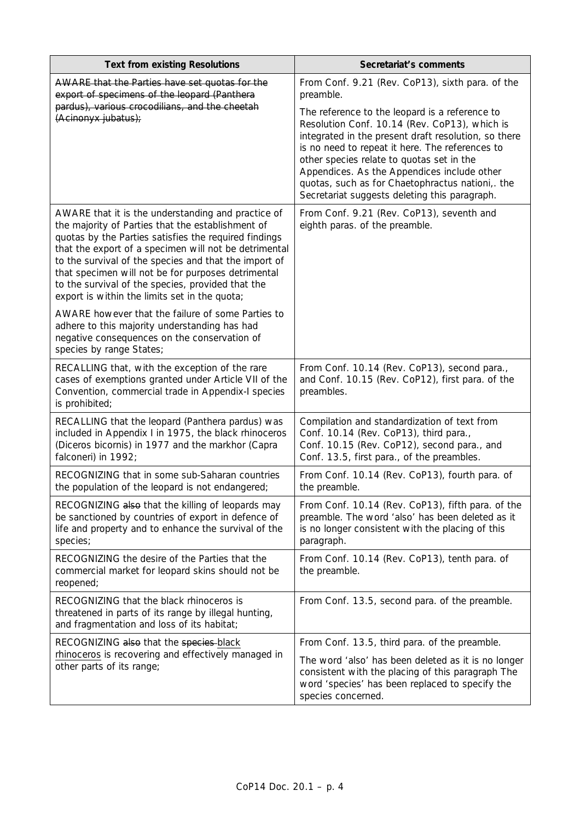| <b>Text from existing Resolutions</b>                                                                                                                                                                                                                                                                                                                                                                                                          | Secretariat's comments                                                                                                                                                                                                                                                                                                                                                                                                                                                      |
|------------------------------------------------------------------------------------------------------------------------------------------------------------------------------------------------------------------------------------------------------------------------------------------------------------------------------------------------------------------------------------------------------------------------------------------------|-----------------------------------------------------------------------------------------------------------------------------------------------------------------------------------------------------------------------------------------------------------------------------------------------------------------------------------------------------------------------------------------------------------------------------------------------------------------------------|
| AWARE that the Parties have set quotas for the<br>export of specimens of the leopard (Panthera<br>pardus), various crocodilians, and the cheetah<br>(Acinonyx jubatus);                                                                                                                                                                                                                                                                        | From Conf. 9.21 (Rev. CoP13), sixth para. of the<br>preamble.<br>The reference to the leopard is a reference to<br>Resolution Conf. 10.14 (Rev. CoP13), which is<br>integrated in the present draft resolution, so there<br>is no need to repeat it here. The references to<br>other species relate to quotas set in the<br>Appendices. As the Appendices include other<br>quotas, such as for Chaetophractus nationi, the<br>Secretariat suggests deleting this paragraph. |
| AWARE that it is the understanding and practice of<br>the majority of Parties that the establishment of<br>quotas by the Parties satisfies the required findings<br>that the export of a specimen will not be detrimental<br>to the survival of the species and that the import of<br>that specimen will not be for purposes detrimental<br>to the survival of the species, provided that the<br>export is within the limits set in the quota; | From Conf. 9.21 (Rev. CoP13), seventh and<br>eighth paras. of the preamble.                                                                                                                                                                                                                                                                                                                                                                                                 |
| AWARE however that the failure of some Parties to<br>adhere to this majority understanding has had<br>negative consequences on the conservation of<br>species by range States;                                                                                                                                                                                                                                                                 |                                                                                                                                                                                                                                                                                                                                                                                                                                                                             |
| RECALLING that, with the exception of the rare<br>cases of exemptions granted under Article VII of the<br>Convention, commercial trade in Appendix-I species<br>is prohibited;                                                                                                                                                                                                                                                                 | From Conf. 10.14 (Rev. CoP13), second para.,<br>and Conf. 10.15 (Rev. CoP12), first para. of the<br>preambles.                                                                                                                                                                                                                                                                                                                                                              |
| RECALLING that the leopard (Panthera pardus) was<br>included in Appendix I in 1975, the black rhinoceros<br>(Diceros bicornis) in 1977 and the markhor (Capra<br>falconeri) in 1992;                                                                                                                                                                                                                                                           | Compilation and standardization of text from<br>Conf. 10.14 (Rev. CoP13), third para.,<br>Conf. 10.15 (Rev. CoP12), second para., and<br>Conf. 13.5, first para., of the preambles.                                                                                                                                                                                                                                                                                         |
| RECOGNIZING that in some sub-Saharan countries<br>the population of the leopard is not endangered;                                                                                                                                                                                                                                                                                                                                             | From Conf. 10.14 (Rev. CoP13), fourth para. of<br>the preamble.                                                                                                                                                                                                                                                                                                                                                                                                             |
| RECOGNIZING also that the killing of leopards may<br>be sanctioned by countries of export in defence of<br>life and property and to enhance the survival of the<br>species;                                                                                                                                                                                                                                                                    | From Conf. 10.14 (Rev. CoP13), fifth para. of the<br>preamble. The word 'also' has been deleted as it<br>is no longer consistent with the placing of this<br>paragraph.                                                                                                                                                                                                                                                                                                     |
| RECOGNIZING the desire of the Parties that the<br>commercial market for leopard skins should not be<br>reopened;                                                                                                                                                                                                                                                                                                                               | From Conf. 10.14 (Rev. CoP13), tenth para. of<br>the preamble.                                                                                                                                                                                                                                                                                                                                                                                                              |
| RECOGNIZING that the black rhinoceros is<br>threatened in parts of its range by illegal hunting,<br>and fragmentation and loss of its habitat;                                                                                                                                                                                                                                                                                                 | From Conf. 13.5, second para. of the preamble.                                                                                                                                                                                                                                                                                                                                                                                                                              |
| RECOGNIZING also that the species-black                                                                                                                                                                                                                                                                                                                                                                                                        | From Conf. 13.5, third para. of the preamble.                                                                                                                                                                                                                                                                                                                                                                                                                               |
| rhinoceros is recovering and effectively managed in<br>other parts of its range;                                                                                                                                                                                                                                                                                                                                                               | The word 'also' has been deleted as it is no longer<br>consistent with the placing of this paragraph The<br>word 'species' has been replaced to specify the<br>species concerned.                                                                                                                                                                                                                                                                                           |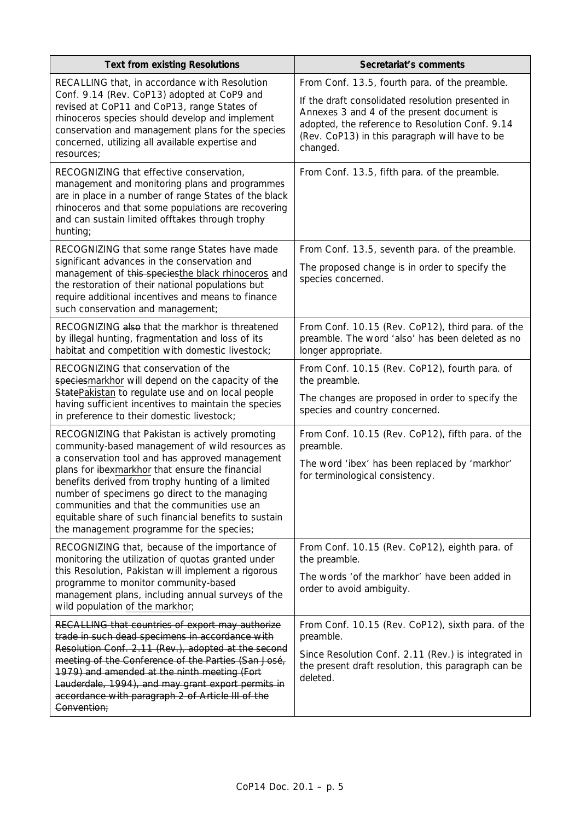| <b>Text from existing Resolutions</b>                                                                                                                                                                                                                                                                                                                                                                                                                               | Secretariat's comments                                                                                                                                                                                                                                             |
|---------------------------------------------------------------------------------------------------------------------------------------------------------------------------------------------------------------------------------------------------------------------------------------------------------------------------------------------------------------------------------------------------------------------------------------------------------------------|--------------------------------------------------------------------------------------------------------------------------------------------------------------------------------------------------------------------------------------------------------------------|
| RECALLING that, in accordance with Resolution<br>Conf. 9.14 (Rev. CoP13) adopted at CoP9 and<br>revised at CoP11 and CoP13, range States of<br>rhinoceros species should develop and implement<br>conservation and management plans for the species<br>concerned, utilizing all available expertise and<br>resources;                                                                                                                                               | From Conf. 13.5, fourth para. of the preamble.<br>If the draft consolidated resolution presented in<br>Annexes 3 and 4 of the present document is<br>adopted, the reference to Resolution Conf. 9.14<br>(Rev. CoP13) in this paragraph will have to be<br>changed. |
| RECOGNIZING that effective conservation,<br>management and monitoring plans and programmes<br>are in place in a number of range States of the black<br>rhinoceros and that some populations are recovering<br>and can sustain limited offtakes through trophy<br>hunting;                                                                                                                                                                                           | From Conf. 13.5, fifth para. of the preamble.                                                                                                                                                                                                                      |
| RECOGNIZING that some range States have made<br>significant advances in the conservation and<br>management of this speciesthe black rhinoceros and<br>the restoration of their national populations but<br>require additional incentives and means to finance<br>such conservation and management;                                                                                                                                                                  | From Conf. 13.5, seventh para. of the preamble.<br>The proposed change is in order to specify the<br>species concerned.                                                                                                                                            |
| RECOGNIZING also that the markhor is threatened<br>by illegal hunting, fragmentation and loss of its<br>habitat and competition with domestic livestock;                                                                                                                                                                                                                                                                                                            | From Conf. 10.15 (Rev. CoP12), third para. of the<br>preamble. The word 'also' has been deleted as no<br>longer appropriate.                                                                                                                                       |
| RECOGNIZING that conservation of the<br>speciesmarkhor will depend on the capacity of the<br>StatePakistan to regulate use and on local people<br>having sufficient incentives to maintain the species<br>in preference to their domestic livestock;                                                                                                                                                                                                                | From Conf. 10.15 (Rev. CoP12), fourth para. of<br>the preamble.<br>The changes are proposed in order to specify the<br>species and country concerned.                                                                                                              |
| RECOGNIZING that Pakistan is actively promoting<br>community-based management of wild resources as<br>a conservation tool and has approved management<br>plans for ibexmarkhor that ensure the financial<br>benefits derived from trophy hunting of a limited<br>number of specimens go direct to the managing<br>communities and that the communities use an<br>equitable share of such financial benefits to sustain<br>the management programme for the species; | From Conf. 10.15 (Rev. CoP12), fifth para. of the<br>preamble.<br>The word 'ibex' has been replaced by 'markhor'<br>for terminological consistency.                                                                                                                |
| RECOGNIZING that, because of the importance of<br>monitoring the utilization of quotas granted under<br>this Resolution, Pakistan will implement a rigorous<br>programme to monitor community-based<br>management plans, including annual surveys of the<br>wild population of the markhor;                                                                                                                                                                         | From Conf. 10.15 (Rev. CoP12), eighth para. of<br>the preamble.<br>The words 'of the markhor' have been added in<br>order to avoid ambiguity.                                                                                                                      |
| RECALLING that countries of export may authorize<br>trade in such dead specimens in accordance with<br>Resolution Conf. 2.11 (Rev.), adopted at the second<br>meeting of the Conference of the Parties (San José,<br>1979) and amended at the ninth meeting (Fort<br>Lauderdale, 1994), and may grant export permits in<br>accordance with paragraph 2 of Article III of the<br>Convention;                                                                         | From Conf. 10.15 (Rev. CoP12), sixth para. of the<br>preamble.<br>Since Resolution Conf. 2.11 (Rev.) is integrated in<br>the present draft resolution, this paragraph can be<br>deleted.                                                                           |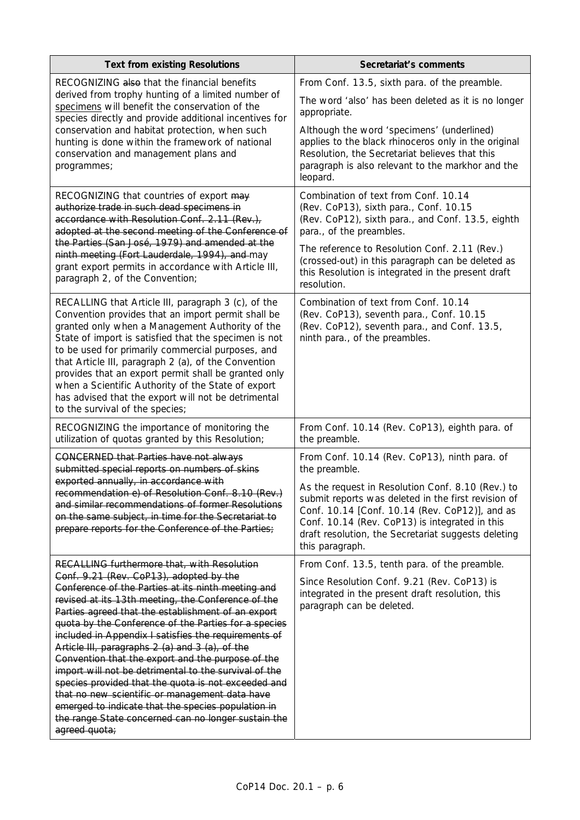| <b>Text from existing Resolutions</b>                                                                                                                                                                                                                                                                                                                                                                                                                                                                                                                                                                                                                                                                                                                                            | Secretariat's comments                                                                                                                                                                                                                                                                 |
|----------------------------------------------------------------------------------------------------------------------------------------------------------------------------------------------------------------------------------------------------------------------------------------------------------------------------------------------------------------------------------------------------------------------------------------------------------------------------------------------------------------------------------------------------------------------------------------------------------------------------------------------------------------------------------------------------------------------------------------------------------------------------------|----------------------------------------------------------------------------------------------------------------------------------------------------------------------------------------------------------------------------------------------------------------------------------------|
| RECOGNIZING also that the financial benefits<br>derived from trophy hunting of a limited number of<br>specimens will benefit the conservation of the                                                                                                                                                                                                                                                                                                                                                                                                                                                                                                                                                                                                                             | From Conf. 13.5, sixth para. of the preamble.<br>The word 'also' has been deleted as it is no longer<br>appropriate.                                                                                                                                                                   |
| species directly and provide additional incentives for<br>conservation and habitat protection, when such<br>hunting is done within the framework of national<br>conservation and management plans and<br>programmes;                                                                                                                                                                                                                                                                                                                                                                                                                                                                                                                                                             | Although the word 'specimens' (underlined)<br>applies to the black rhinoceros only in the original<br>Resolution, the Secretariat believes that this<br>paragraph is also relevant to the markhor and the<br>leopard.                                                                  |
| RECOGNIZING that countries of export may<br>authorize trade in such dead specimens in<br>accordance with Resolution Conf. 2.11 (Rev.),<br>adopted at the second meeting of the Conference of<br>the Parties (San José, 1979) and amended at the<br>ninth meeting (Fort Lauderdale, 1994), and may<br>grant export permits in accordance with Article III,                                                                                                                                                                                                                                                                                                                                                                                                                        | Combination of text from Conf. 10.14<br>(Rev. CoP13), sixth para., Conf. 10.15<br>(Rev. CoP12), sixth para., and Conf. 13.5, eighth<br>para., of the preambles.<br>The reference to Resolution Conf. 2.11 (Rev.)<br>(crossed-out) in this paragraph can be deleted as                  |
| paragraph 2, of the Convention;                                                                                                                                                                                                                                                                                                                                                                                                                                                                                                                                                                                                                                                                                                                                                  | this Resolution is integrated in the present draft<br>resolution.                                                                                                                                                                                                                      |
| RECALLING that Article III, paragraph 3 (c), of the<br>Convention provides that an import permit shall be<br>granted only when a Management Authority of the<br>State of import is satisfied that the specimen is not<br>to be used for primarily commercial purposes, and<br>that Article III, paragraph 2 (a), of the Convention<br>provides that an export permit shall be granted only<br>when a Scientific Authority of the State of export<br>has advised that the export will not be detrimental<br>to the survival of the species;                                                                                                                                                                                                                                       | Combination of text from Conf. 10.14<br>(Rev. CoP13), seventh para., Conf. 10.15<br>(Rev. CoP12), seventh para., and Conf. 13.5,<br>ninth para., of the preambles.                                                                                                                     |
| RECOGNIZING the importance of monitoring the<br>utilization of quotas granted by this Resolution;                                                                                                                                                                                                                                                                                                                                                                                                                                                                                                                                                                                                                                                                                | From Conf. 10.14 (Rev. CoP13), eighth para. of<br>the preamble.                                                                                                                                                                                                                        |
| <b>CONCERNED that Parties have not always</b><br>submitted special reports on numbers of skins                                                                                                                                                                                                                                                                                                                                                                                                                                                                                                                                                                                                                                                                                   | From Conf. 10.14 (Rev. CoP13), ninth para. of<br>the preamble.                                                                                                                                                                                                                         |
| exported annually, in accordance with<br>recommendation e) of Resolution Conf. 8.10 (Rev.)<br>and similar recommendations of former Resolutions<br>on the same subject, in time for the Secretariat to<br>prepare reports for the Conference of the Parties;                                                                                                                                                                                                                                                                                                                                                                                                                                                                                                                     | As the request in Resolution Conf. 8.10 (Rev.) to<br>submit reports was deleted in the first revision of<br>Conf. 10.14 [Conf. 10.14 (Rev. CoP12)], and as<br>Conf. 10.14 (Rev. CoP13) is integrated in this<br>draft resolution, the Secretariat suggests deleting<br>this paragraph. |
| RECALLING furthermore that, with Resolution<br>Conf. 9.21 (Rev. CoP13), adopted by the<br>Conference of the Parties at its ninth meeting and<br>revised at its 13th meeting, the Conference of the<br>Parties agreed that the establishment of an export<br>quota by the Conference of the Parties for a species<br>included in Appendix I satisfies the requirements of<br>Article III, paragraphs 2 (a) and 3 (a), of the<br>Convention that the export and the purpose of the<br>import will not be detrimental to the survival of the<br>species provided that the quota is not exceeded and<br>that no new scientific or management data have<br>emerged to indicate that the species population in<br>the range State concerned can no longer sustain the<br>agreed quota; | From Conf. 13.5, tenth para. of the preamble.<br>Since Resolution Conf. 9.21 (Rev. CoP13) is<br>integrated in the present draft resolution, this<br>paragraph can be deleted.                                                                                                          |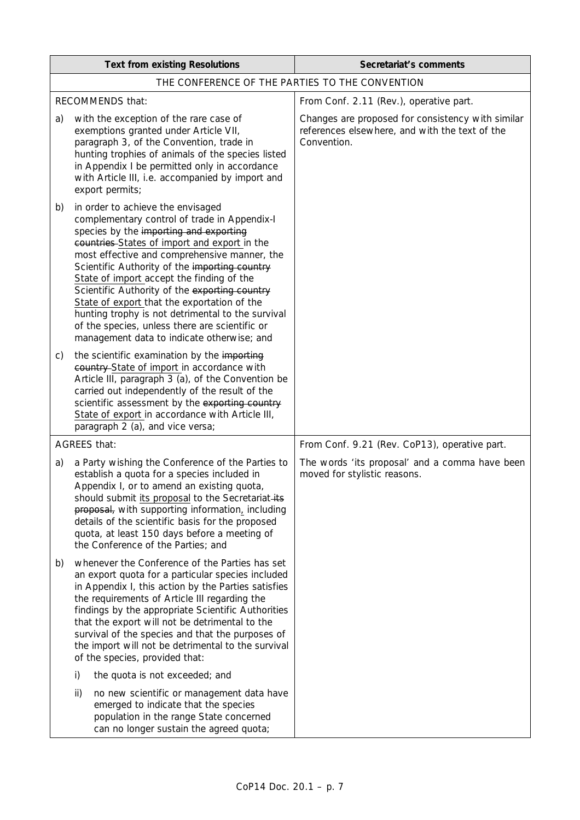| <b>Text from existing Resolutions</b> |                                                                                                                                                                                                                                                                                                                                                                                                                                                                                                                                                                                | Secretariat's comments                                                                                             |  |
|---------------------------------------|--------------------------------------------------------------------------------------------------------------------------------------------------------------------------------------------------------------------------------------------------------------------------------------------------------------------------------------------------------------------------------------------------------------------------------------------------------------------------------------------------------------------------------------------------------------------------------|--------------------------------------------------------------------------------------------------------------------|--|
|                                       | THE CONFERENCE OF THE PARTIES TO THE CONVENTION                                                                                                                                                                                                                                                                                                                                                                                                                                                                                                                                |                                                                                                                    |  |
|                                       | RECOMMENDS that:                                                                                                                                                                                                                                                                                                                                                                                                                                                                                                                                                               | From Conf. 2.11 (Rev.), operative part.                                                                            |  |
| a)                                    | with the exception of the rare case of<br>exemptions granted under Article VII,<br>paragraph 3, of the Convention, trade in<br>hunting trophies of animals of the species listed<br>in Appendix I be permitted only in accordance<br>with Article III, i.e. accompanied by import and<br>export permits;                                                                                                                                                                                                                                                                       | Changes are proposed for consistency with similar<br>references elsewhere, and with the text of the<br>Convention. |  |
| b)                                    | in order to achieve the envisaged<br>complementary control of trade in Appendix-I<br>species by the importing and exporting<br>countries-States of import and export in the<br>most effective and comprehensive manner, the<br>Scientific Authority of the importing country<br>State of import accept the finding of the<br>Scientific Authority of the exporting country<br>State of export that the exportation of the<br>hunting trophy is not detrimental to the survival<br>of the species, unless there are scientific or<br>management data to indicate otherwise; and |                                                                                                                    |  |
| C)                                    | the scientific examination by the importing<br>country-State of import in accordance with<br>Article III, paragraph 3 (a), of the Convention be<br>carried out independently of the result of the<br>scientific assessment by the exporting country<br>State of export in accordance with Article III,<br>paragraph 2 (a), and vice versa;                                                                                                                                                                                                                                     |                                                                                                                    |  |
| <b>AGREES that:</b>                   |                                                                                                                                                                                                                                                                                                                                                                                                                                                                                                                                                                                | From Conf. 9.21 (Rev. CoP13), operative part.                                                                      |  |
| a)                                    | a Party wishing the Conference of the Parties to<br>establish a quota for a species included in<br>Appendix I, or to amend an existing quota,<br>should submit its proposal to the Secretariat-its<br>proposal, with supporting information, including<br>details of the scientific basis for the proposed<br>quota, at least 150 days before a meeting of<br>the Conference of the Parties; and                                                                                                                                                                               | The words 'its proposal' and a comma have been<br>moved for stylistic reasons.                                     |  |
| b)                                    | whenever the Conference of the Parties has set<br>an export quota for a particular species included<br>in Appendix I, this action by the Parties satisfies<br>the requirements of Article III regarding the<br>findings by the appropriate Scientific Authorities<br>that the export will not be detrimental to the<br>survival of the species and that the purposes of<br>the import will not be detrimental to the survival<br>of the species, provided that:                                                                                                                |                                                                                                                    |  |
|                                       | i)<br>the quota is not exceeded; and<br>ii)<br>no new scientific or management data have<br>emerged to indicate that the species<br>population in the range State concerned<br>can no longer sustain the agreed quota;                                                                                                                                                                                                                                                                                                                                                         |                                                                                                                    |  |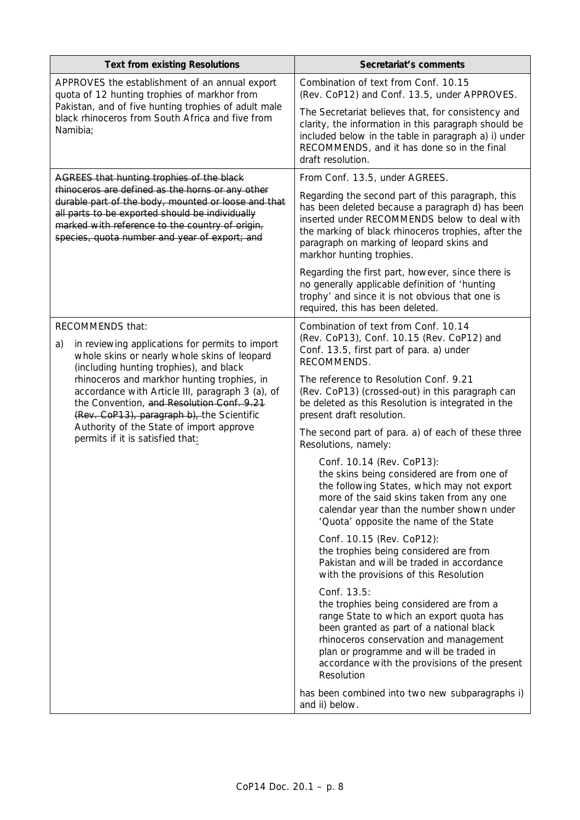| <b>Text from existing Resolutions</b>                                                                                                                                                                                                                                      | Secretariat's comments                                                                                                                                                                                                                                                                              |
|----------------------------------------------------------------------------------------------------------------------------------------------------------------------------------------------------------------------------------------------------------------------------|-----------------------------------------------------------------------------------------------------------------------------------------------------------------------------------------------------------------------------------------------------------------------------------------------------|
| APPROVES the establishment of an annual export<br>quota of 12 hunting trophies of markhor from                                                                                                                                                                             | Combination of text from Conf. 10.15<br>(Rev. CoP12) and Conf. 13.5, under APPROVES.                                                                                                                                                                                                                |
| Pakistan, and of five hunting trophies of adult male<br>black rhinoceros from South Africa and five from<br>Namibia;                                                                                                                                                       | The Secretariat believes that, for consistency and<br>clarity, the information in this paragraph should be<br>included below in the table in paragraph a) i) under<br>RECOMMENDS, and it has done so in the final<br>draft resolution.                                                              |
| AGREES that hunting trophies of the black                                                                                                                                                                                                                                  | From Conf. 13.5, under AGREES.                                                                                                                                                                                                                                                                      |
| rhinoceros are defined as the horns or any other<br>durable part of the body, mounted or loose and that<br>all parts to be exported should be individually<br>marked with reference to the country of origin,<br>species, quota number and year of export; and             | Regarding the second part of this paragraph, this<br>has been deleted because a paragraph d) has been<br>inserted under RECOMMENDS below to deal with<br>the marking of black rhinoceros trophies, after the<br>paragraph on marking of leopard skins and<br>markhor hunting trophies.              |
|                                                                                                                                                                                                                                                                            | Regarding the first part, however, since there is<br>no generally applicable definition of 'hunting<br>trophy' and since it is not obvious that one is<br>required, this has been deleted.                                                                                                          |
| RECOMMENDS that:<br>in reviewing applications for permits to import<br>a)<br>whole skins or nearly whole skins of leopard<br>(including hunting trophies), and black                                                                                                       | Combination of text from Conf. 10.14<br>(Rev. CoP13), Conf. 10.15 (Rev. CoP12) and<br>Conf. 13.5, first part of para. a) under<br>RECOMMENDS.                                                                                                                                                       |
| rhinoceros and markhor hunting trophies, in<br>accordance with Article III, paragraph 3 (a), of<br>the Convention, and Resolution Conf. 9.21<br>(Rev. CoP13), paragraph b), the Scientific<br>Authority of the State of import approve<br>permits if it is satisfied that: | The reference to Resolution Conf. 9.21<br>(Rev. CoP13) (crossed-out) in this paragraph can<br>be deleted as this Resolution is integrated in the<br>present draft resolution.                                                                                                                       |
|                                                                                                                                                                                                                                                                            | The second part of para. a) of each of these three<br>Resolutions, namely:                                                                                                                                                                                                                          |
|                                                                                                                                                                                                                                                                            | Conf. 10.14 (Rev. CoP13):<br>the skins being considered are from one of<br>the following States, which may not export<br>more of the said skins taken from any one<br>calendar year than the number shown under<br>'Quota' opposite the name of the State                                           |
|                                                                                                                                                                                                                                                                            | Conf. 10.15 (Rev. CoP12):<br>the trophies being considered are from<br>Pakistan and will be traded in accordance<br>with the provisions of this Resolution                                                                                                                                          |
|                                                                                                                                                                                                                                                                            | Conf. 13.5:<br>the trophies being considered are from a<br>range State to which an export quota has<br>been granted as part of a national black<br>rhinoceros conservation and management<br>plan or programme and will be traded in<br>accordance with the provisions of the present<br>Resolution |
|                                                                                                                                                                                                                                                                            | has been combined into two new subparagraphs i)<br>and ii) below.                                                                                                                                                                                                                                   |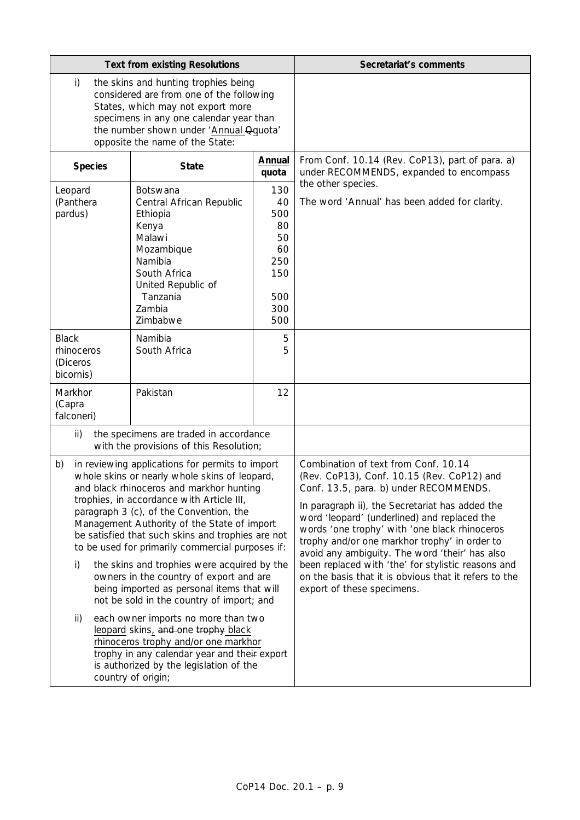| <b>Text from existing Resolutions</b>                                                                                                                                                                                                                                                                                                                                                                                                                                                                                                                                                                                                                                                                                                                                                                                                       |                                                                                                                                                                             | Secretariat's comments                                                                                                                                                                                                                                                                                                                                                                                                                                                                                                           |                                                                                            |
|---------------------------------------------------------------------------------------------------------------------------------------------------------------------------------------------------------------------------------------------------------------------------------------------------------------------------------------------------------------------------------------------------------------------------------------------------------------------------------------------------------------------------------------------------------------------------------------------------------------------------------------------------------------------------------------------------------------------------------------------------------------------------------------------------------------------------------------------|-----------------------------------------------------------------------------------------------------------------------------------------------------------------------------|----------------------------------------------------------------------------------------------------------------------------------------------------------------------------------------------------------------------------------------------------------------------------------------------------------------------------------------------------------------------------------------------------------------------------------------------------------------------------------------------------------------------------------|--------------------------------------------------------------------------------------------|
| i)<br>the skins and hunting trophies being<br>considered are from one of the following<br>States, which may not export more<br>specimens in any one calendar year than<br>the number shown under 'Annual Qquota'<br>opposite the name of the State:                                                                                                                                                                                                                                                                                                                                                                                                                                                                                                                                                                                         |                                                                                                                                                                             |                                                                                                                                                                                                                                                                                                                                                                                                                                                                                                                                  |                                                                                            |
| <b>Species</b>                                                                                                                                                                                                                                                                                                                                                                                                                                                                                                                                                                                                                                                                                                                                                                                                                              | <b>State</b>                                                                                                                                                                | Annual<br>quota                                                                                                                                                                                                                                                                                                                                                                                                                                                                                                                  | From Conf. 10.14 (Rev. CoP13), part of para. a)<br>under RECOMMENDS, expanded to encompass |
| Leopard<br>(Panthera<br>pardus)                                                                                                                                                                                                                                                                                                                                                                                                                                                                                                                                                                                                                                                                                                                                                                                                             | <b>Botswana</b><br>Central African Republic<br>Ethiopia<br>Kenya<br>Malawi<br>Mozambique<br>Namibia<br>South Africa<br>United Republic of<br>Tanzania<br>Zambia<br>Zimbabwe | 130<br>40<br>500<br>80<br>50<br>60<br>250<br>150<br>500<br>300<br>500                                                                                                                                                                                                                                                                                                                                                                                                                                                            | the other species.<br>The word 'Annual' has been added for clarity.                        |
| <b>Black</b><br>rhinoceros<br>(Diceros<br>bicornis)                                                                                                                                                                                                                                                                                                                                                                                                                                                                                                                                                                                                                                                                                                                                                                                         | Namibia<br>South Africa                                                                                                                                                     | 5<br>5                                                                                                                                                                                                                                                                                                                                                                                                                                                                                                                           |                                                                                            |
| Markhor<br>Pakistan<br>(Capra<br>falconeri)                                                                                                                                                                                                                                                                                                                                                                                                                                                                                                                                                                                                                                                                                                                                                                                                 |                                                                                                                                                                             | 12                                                                                                                                                                                                                                                                                                                                                                                                                                                                                                                               |                                                                                            |
| ii)<br>the specimens are traded in accordance<br>with the provisions of this Resolution;                                                                                                                                                                                                                                                                                                                                                                                                                                                                                                                                                                                                                                                                                                                                                    |                                                                                                                                                                             |                                                                                                                                                                                                                                                                                                                                                                                                                                                                                                                                  |                                                                                            |
| in reviewing applications for permits to import<br>b)<br>whole skins or nearly whole skins of leopard,<br>and black rhinoceros and markhor hunting<br>trophies, in accordance with Article III,<br>paragraph 3 (c), of the Convention, the<br>Management Authority of the State of import<br>be satisfied that such skins and trophies are not<br>to be used for primarily commercial purposes if:<br>i)<br>the skins and trophies were acquired by the<br>owners in the country of export and are<br>being imported as personal items that will<br>not be sold in the country of import; and<br>each owner imports no more than two<br>ii)<br>leopard skins, and one trophy black<br>rhinoceros trophy and/or one markhor<br>trophy in any calendar year and their export<br>is authorized by the legislation of the<br>country of origin; |                                                                                                                                                                             | Combination of text from Conf. 10.14<br>(Rev. CoP13), Conf. 10.15 (Rev. CoP12) and<br>Conf. 13.5, para. b) under RECOMMENDS.<br>In paragraph ii), the Secretariat has added the<br>word 'leopard' (underlined) and replaced the<br>words 'one trophy' with 'one black rhinoceros<br>trophy and/or one markhor trophy' in order to<br>avoid any ambiguity. The word 'their' has also<br>been replaced with 'the' for stylistic reasons and<br>on the basis that it is obvious that it refers to the<br>export of these specimens. |                                                                                            |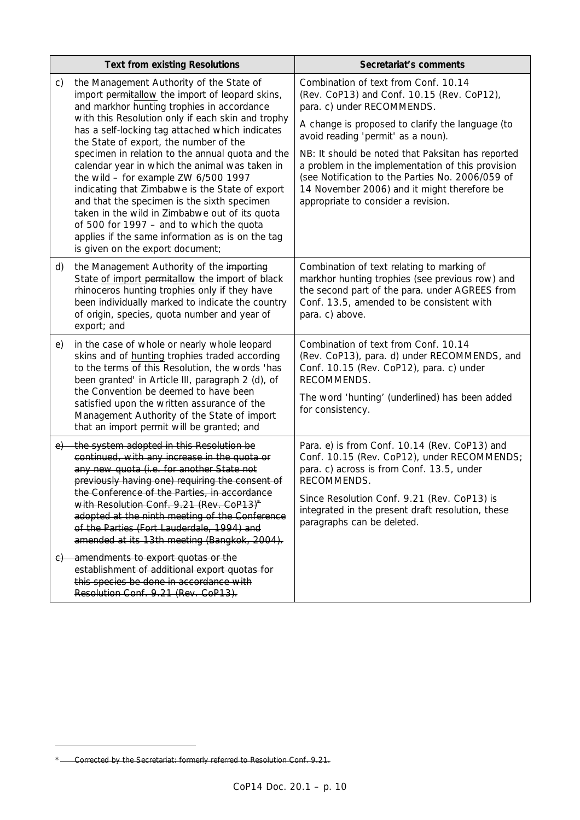|    | <b>Text from existing Resolutions</b>                                                                                                                                                                                                                                                                                                                                                                                              | Secretariat's comments                                                                                                                                                                                                                           |
|----|------------------------------------------------------------------------------------------------------------------------------------------------------------------------------------------------------------------------------------------------------------------------------------------------------------------------------------------------------------------------------------------------------------------------------------|--------------------------------------------------------------------------------------------------------------------------------------------------------------------------------------------------------------------------------------------------|
| C) | the Management Authority of the State of<br>import permitallow the import of leopard skins,<br>and markhor hunting trophies in accordance                                                                                                                                                                                                                                                                                          | Combination of text from Conf. 10.14<br>(Rev. CoP13) and Conf. 10.15 (Rev. CoP12),<br>para. c) under RECOMMENDS.                                                                                                                                 |
|    | with this Resolution only if each skin and trophy<br>has a self-locking tag attached which indicates<br>the State of export, the number of the                                                                                                                                                                                                                                                                                     | A change is proposed to clarify the language (to<br>avoid reading 'permit' as a noun).                                                                                                                                                           |
|    | specimen in relation to the annual quota and the<br>calendar year in which the animal was taken in<br>the wild - for example ZW 6/500 1997<br>indicating that Zimbabwe is the State of export<br>and that the specimen is the sixth specimen<br>taken in the wild in Zimbabwe out of its quota<br>of 500 for 1997 - and to which the quota<br>applies if the same information as is on the tag<br>is given on the export document; | NB: It should be noted that Paksitan has reported<br>a problem in the implementation of this provision<br>(see Notification to the Parties No. 2006/059 of<br>14 November 2006) and it might therefore be<br>appropriate to consider a revision. |
| d) | the Management Authority of the importing<br>State of import permitallow the import of black<br>rhinoceros hunting trophies only if they have<br>been individually marked to indicate the country<br>of origin, species, quota number and year of<br>export; and                                                                                                                                                                   | Combination of text relating to marking of<br>markhor hunting trophies (see previous row) and<br>the second part of the para. under AGREES from<br>Conf. 13.5, amended to be consistent with<br>para. c) above.                                  |
| e) | in the case of whole or nearly whole leopard<br>skins and of hunting trophies traded according<br>to the terms of this Resolution, the words 'has<br>been granted' in Article III, paragraph 2 (d), of                                                                                                                                                                                                                             | Combination of text from Conf. 10.14<br>(Rev. CoP13), para. d) under RECOMMENDS, and<br>Conf. 10.15 (Rev. CoP12), para. c) under<br>RECOMMENDS.                                                                                                  |
|    | the Convention be deemed to have been<br>satisfied upon the written assurance of the<br>Management Authority of the State of import<br>that an import permit will be granted; and                                                                                                                                                                                                                                                  | The word 'hunting' (underlined) has been added<br>for consistency.                                                                                                                                                                               |
| e) | the system adopted in this Resolution be<br>continued, with any increase in the quota or<br>any new quota (i.e. for another State not<br>previously having one) requiring the consent of<br>the Conference of the Parties, in accordance                                                                                                                                                                                           | Para. e) is from Conf. 10.14 (Rev. CoP13) and<br>Conf. 10.15 (Rev. CoP12), under RECOMMENDS;<br>para. c) across is from Conf. 13.5, under<br>RECOMMENDS.                                                                                         |
|    | with Resolution Conf. 9.21 (Rev. CoP13) <sup>*</sup><br>adopted at the ninth meeting of the Conference<br>of the Parties (Fort Lauderdale, 1994) and<br>amended at its 13th meeting (Bangkok, 2004).                                                                                                                                                                                                                               | Since Resolution Conf. 9.21 (Rev. CoP13) is<br>integrated in the present draft resolution, these<br>paragraphs can be deleted.                                                                                                                   |
|    | c) amendments to export quotas or the<br>establishment of additional export quotas for<br>this species be done in accordance with<br>Resolution Conf. 9.21 (Rev. CoP13).                                                                                                                                                                                                                                                           |                                                                                                                                                                                                                                                  |

*<sup>\*</sup> Corrected by the Secretariat: formerly referred to Resolution Conf. 9.21.*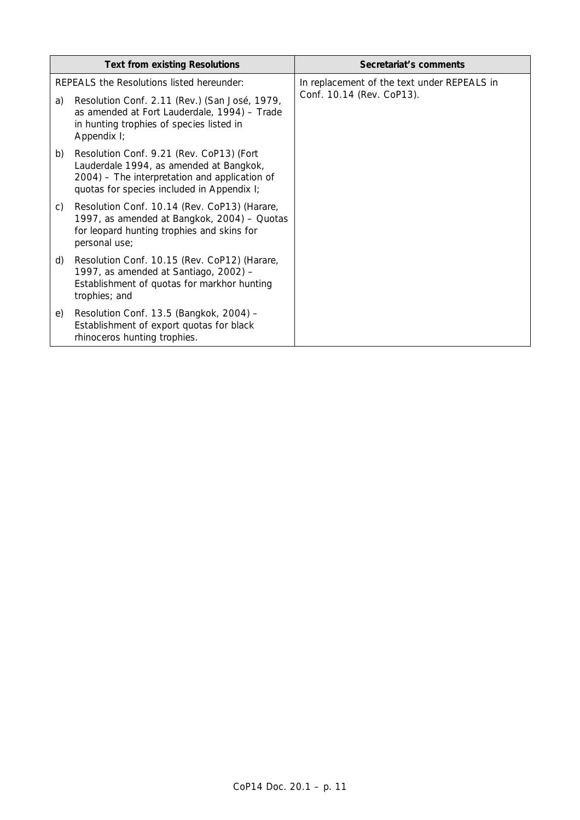|    | <b>Text from existing Resolutions</b>                                                                                                                                              | Secretariat's comments                      |
|----|------------------------------------------------------------------------------------------------------------------------------------------------------------------------------------|---------------------------------------------|
|    | REPEALS the Resolutions listed hereunder:                                                                                                                                          | In replacement of the text under REPEALS in |
| a) | Resolution Conf. 2.11 (Rev.) (San José, 1979,<br>as amended at Fort Lauderdale, 1994) - Trade<br>in hunting trophies of species listed in<br>Appendix I;                           | Conf. 10.14 (Rev. CoP13).                   |
| b) | Resolution Conf. 9.21 (Rev. CoP13) (Fort<br>Lauderdale 1994, as amended at Bangkok,<br>2004) – The interpretation and application of<br>quotas for species included in Appendix I; |                                             |
| C) | Resolution Conf. 10.14 (Rev. CoP13) (Harare,<br>1997, as amended at Bangkok, 2004) - Quotas<br>for leopard hunting trophies and skins for<br>personal use;                         |                                             |
| d) | Resolution Conf. 10.15 (Rev. CoP12) (Harare,<br>1997, as amended at Santiago, 2002) -<br>Establishment of quotas for markhor hunting<br>trophies; and                              |                                             |
| e) | Resolution Conf. 13.5 (Bangkok, 2004) -<br>Establishment of export quotas for black<br>rhinoceros hunting trophies.                                                                |                                             |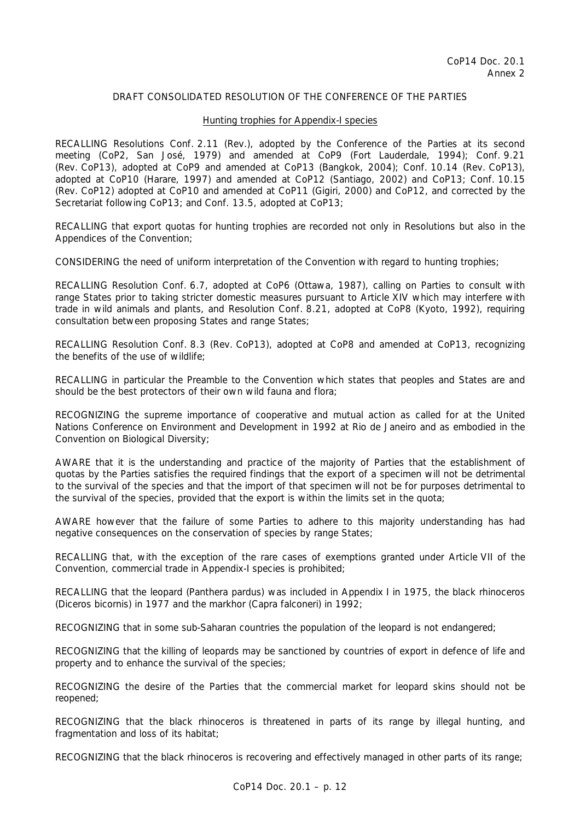#### Hunting trophies for Appendix-I species

RECALLING Resolutions Conf. 2.11 (Rev.), adopted by the Conference of the Parties at its second meeting (CoP2, San José, 1979) and amended at CoP9 (Fort Lauderdale, 1994); Conf. 9.21 (Rev. CoP13), adopted at CoP9 and amended at CoP13 (Bangkok, 2004); Conf. 10.14 (Rev. CoP13), adopted at CoP10 (Harare, 1997) and amended at CoP12 (Santiago, 2002) and CoP13; Conf. 10.15 (Rev. CoP12) adopted at CoP10 and amended at CoP11 (Gigiri, 2000) and CoP12, and corrected by the Secretariat following CoP13; and Conf. 13.5, adopted at CoP13;

RECALLING that export quotas for hunting trophies are recorded not only in Resolutions but also in the Appendices of the Convention;

CONSIDERING the need of uniform interpretation of the Convention with regard to hunting trophies;

RECALLING Resolution Conf. 6.7, adopted at CoP6 (Ottawa, 1987), calling on Parties to consult with range States prior to taking stricter domestic measures pursuant to Article XIV which may interfere with trade in wild animals and plants, and Resolution Conf. 8.21, adopted at CoP8 (Kyoto, 1992), requiring consultation between proposing States and range States;

RECALLING Resolution Conf. 8.3 (Rev. CoP13), adopted at CoP8 and amended at CoP13, recognizing the benefits of the use of wildlife;

RECALLING in particular the Preamble to the Convention which states that peoples and States are and should be the best protectors of their own wild fauna and flora;

RECOGNIZING the supreme importance of cooperative and mutual action as called for at the United Nations Conference on Environment and Development in 1992 at Rio de Janeiro and as embodied in the Convention on Biological Diversity;

AWARE that it is the understanding and practice of the majority of Parties that the establishment of quotas by the Parties satisfies the required findings that the export of a specimen will not be detrimental to the survival of the species and that the import of that specimen will not be for purposes detrimental to the survival of the species, provided that the export is within the limits set in the quota;

AWARE however that the failure of some Parties to adhere to this majority understanding has had negative consequences on the conservation of species by range States;

RECALLING that, with the exception of the rare cases of exemptions granted under Article VII of the Convention, commercial trade in Appendix-I species is prohibited;

RECALLING that the leopard (*Panthera pardus*) was included in Appendix I in 1975, the black rhinoceros (*Diceros bicornis*) in 1977 and the markhor (*Capra falconeri*) in 1992;

RECOGNIZING that in some sub-Saharan countries the population of the leopard is not endangered;

RECOGNIZING that the killing of leopards may be sanctioned by countries of export in defence of life and property and to enhance the survival of the species;

RECOGNIZING the desire of the Parties that the commercial market for leopard skins should not be reopened;

RECOGNIZING that the black rhinoceros is threatened in parts of its range by illegal hunting, and fragmentation and loss of its habitat;

RECOGNIZING that the black rhinoceros is recovering and effectively managed in other parts of its range;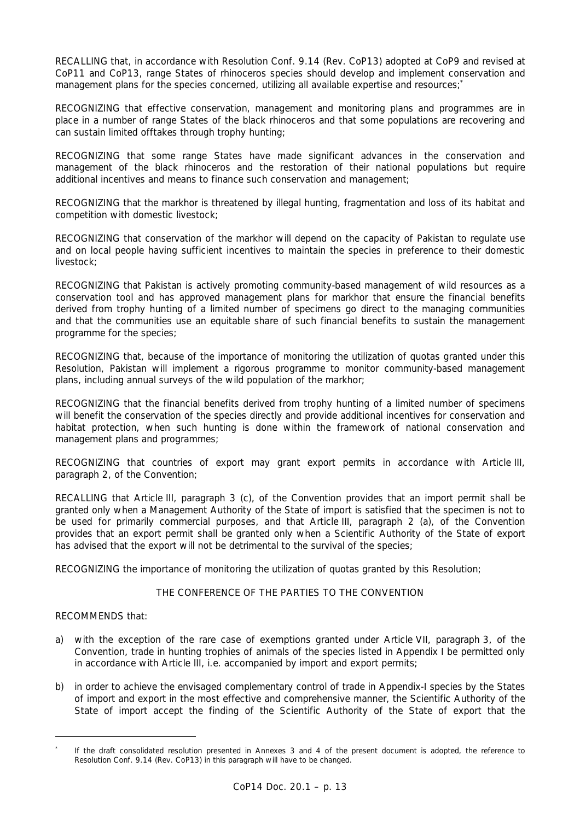RECALLING that, in accordance with Resolution Conf. 9.14 (Rev. CoP13) adopted at CoP9 and revised at CoP11 and CoP13, range States of rhinoceros species should develop and implement conservation and management plans for the species concerned, utilizing all available expertise and resources;<sup>\*</sup>

RECOGNIZING that effective conservation, management and monitoring plans and programmes are in place in a number of range States of the black rhinoceros and that some populations are recovering and can sustain limited offtakes through trophy hunting;

RECOGNIZING that some range States have made significant advances in the conservation and management of the black rhinoceros and the restoration of their national populations but require additional incentives and means to finance such conservation and management;

RECOGNIZING that the markhor is threatened by illegal hunting, fragmentation and loss of its habitat and competition with domestic livestock;

RECOGNIZING that conservation of the markhor will depend on the capacity of Pakistan to regulate use and on local people having sufficient incentives to maintain the species in preference to their domestic livestock;

RECOGNIZING that Pakistan is actively promoting community-based management of wild resources as a conservation tool and has approved management plans for markhor that ensure the financial benefits derived from trophy hunting of a limited number of specimens go direct to the managing communities and that the communities use an equitable share of such financial benefits to sustain the management programme for the species;

RECOGNIZING that, because of the importance of monitoring the utilization of quotas granted under this Resolution, Pakistan will implement a rigorous programme to monitor community-based management plans, including annual surveys of the wild population of the markhor;

RECOGNIZING that the financial benefits derived from trophy hunting of a limited number of specimens will benefit the conservation of the species directly and provide additional incentives for conservation and habitat protection, when such hunting is done within the framework of national conservation and management plans and programmes;

RECOGNIZING that countries of export may grant export permits in accordance with Article III, paragraph 2, of the Convention;

RECALLING that Article III, paragraph 3 (c), of the Convention provides that an import permit shall be granted only when a Management Authority of the State of import is satisfied that the specimen is not to be used for primarily commercial purposes, and that Article III, paragraph 2 (a), of the Convention provides that an export permit shall be granted only when a Scientific Authority of the State of export has advised that the export will not be detrimental to the survival of the species;

RECOGNIZING the importance of monitoring the utilization of quotas granted by this Resolution;

# THE CONFERENCE OF THE PARTIES TO THE CONVENTION

RECOMMENDS that:

- a) with the exception of the rare case of exemptions granted under Article VII, paragraph 3, of the Convention, trade in hunting trophies of animals of the species listed in Appendix I be permitted only in accordance with Article III, i.e. accompanied by import and export permits;
- b) in order to achieve the envisaged complementary control of trade in Appendix-I species by the States of import and export in the most effective and comprehensive manner, the Scientific Authority of the State of import accept the finding of the Scientific Authority of the State of export that the

*<sup>\*</sup> If the draft consolidated resolution presented in Annexes 3 and 4 of the present document is adopted, the reference to Resolution Conf. 9.14 (Rev. CoP13) in this paragraph will have to be changed.*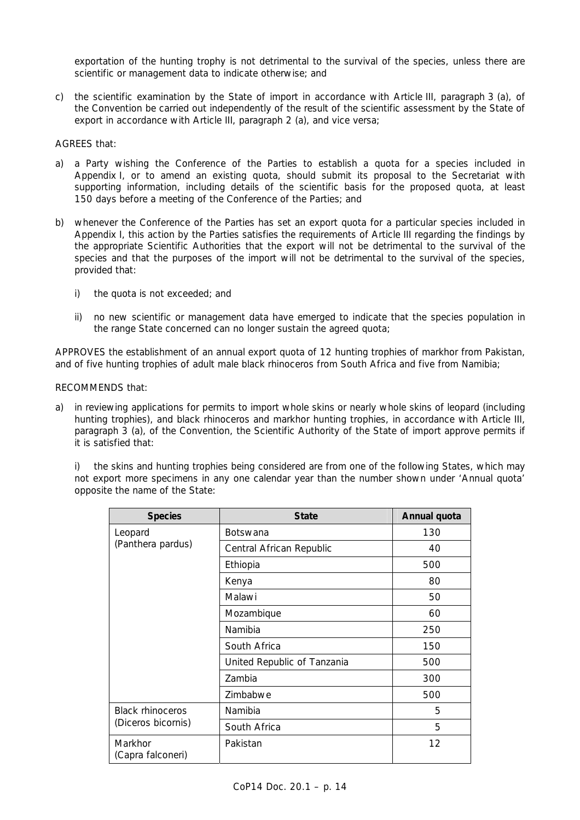exportation of the hunting trophy is not detrimental to the survival of the species, unless there are scientific or management data to indicate otherwise; and

c) the scientific examination by the State of import in accordance with Article III, paragraph 3 (a), of the Convention be carried out independently of the result of the scientific assessment by the State of export in accordance with Article III, paragraph 2 (a), and vice versa;

#### AGREES that:

- a) a Party wishing the Conference of the Parties to establish a quota for a species included in Appendix I, or to amend an existing quota, should submit its proposal to the Secretariat with supporting information, including details of the scientific basis for the proposed quota, at least 150 days before a meeting of the Conference of the Parties; and
- b) whenever the Conference of the Parties has set an export quota for a particular species included in Appendix I, this action by the Parties satisfies the requirements of Article III regarding the findings by the appropriate Scientific Authorities that the export will not be detrimental to the survival of the species and that the purposes of the import will not be detrimental to the survival of the species, provided that:
	- i) the quota is not exceeded; and
	- ii) no new scientific or management data have emerged to indicate that the species population in the range State concerned can no longer sustain the agreed quota;

APPROVES the establishment of an annual export quota of 12 hunting trophies of markhor from Pakistan, and of five hunting trophies of adult male black rhinoceros from South Africa and five from Namibia;

## RECOMMENDS that:

a) in reviewing applications for permits to import whole skins or nearly whole skins of leopard (including hunting trophies), and black rhinoceros and markhor hunting trophies, in accordance with Article III, paragraph 3 (a), of the Convention, the Scientific Authority of the State of import approve permits if it is satisfied that:

 i) the skins and hunting trophies being considered are from one of the following States, which may not export more specimens in any one calendar year than the number shown under 'Annual quota' opposite the name of the State:

| <b>Species</b>               | <b>State</b>                | Annual quota |
|------------------------------|-----------------------------|--------------|
| Leopard                      | <b>Botswana</b>             | 130          |
| (Panthera pardus)            | Central African Republic    | 40           |
|                              | Ethiopia                    | 500          |
|                              | Kenya                       | 80           |
|                              | Malawi                      | 50           |
|                              | Mozambique                  | 60           |
|                              | Namibia                     | 250          |
|                              | South Africa                | 150          |
|                              | United Republic of Tanzania | 500          |
|                              | Zambia                      | 300          |
|                              | Zimbabwe                    | 500          |
| <b>Black rhinoceros</b>      | Namibia                     | 5            |
| (Diceros bicornis)           | South Africa                | 5            |
| Markhor<br>(Capra falconeri) | Pakistan                    | 12           |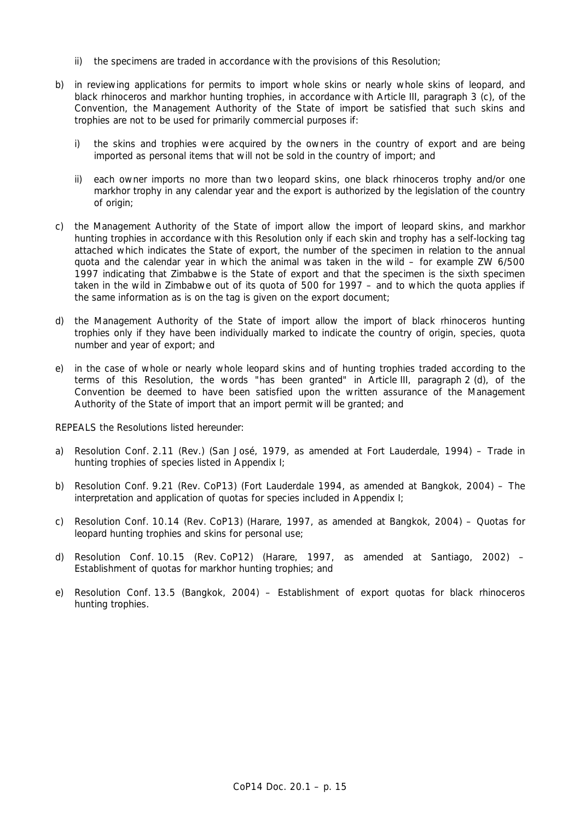- ii) the specimens are traded in accordance with the provisions of this Resolution;
- b) in reviewing applications for permits to import whole skins or nearly whole skins of leopard, and black rhinoceros and markhor hunting trophies, in accordance with Article III, paragraph 3 (c), of the Convention, the Management Authority of the State of import be satisfied that such skins and trophies are not to be used for primarily commercial purposes if:
	- i) the skins and trophies were acquired by the owners in the country of export and are being imported as personal items that will not be sold in the country of import; and
	- ii) each owner imports no more than two leopard skins, one black rhinoceros trophy and/or one markhor trophy in any calendar year and the export is authorized by the legislation of the country of origin;
- c) the Management Authority of the State of import allow the import of leopard skins, and markhor hunting trophies in accordance with this Resolution only if each skin and trophy has a self-locking tag attached which indicates the State of export, the number of the specimen in relation to the annual quota and the calendar year in which the animal was taken in the wild  $-$  for example ZW 6/500 1997 indicating that Zimbabwe is the State of export and that the specimen is the sixth specimen taken in the wild in Zimbabwe out of its quota of 500 for 1997 – and to which the quota applies if the same information as is on the tag is given on the export document;
- d) the Management Authority of the State of import allow the import of black rhinoceros hunting trophies only if they have been individually marked to indicate the country of origin, species, quota number and year of export; and
- e) in the case of whole or nearly whole leopard skins and of hunting trophies traded according to the terms of this Resolution, the words "has been granted" in Article III, paragraph 2 (d), of the Convention be deemed to have been satisfied upon the written assurance of the Management Authority of the State of import that an import permit will be granted; and

REPEALS the Resolutions listed hereunder:

- a) Resolution Conf. 2.11 (Rev.) (San José, 1979, as amended at Fort Lauderdale, 1994) Trade in hunting trophies of species listed in Appendix I;
- b) Resolution Conf. 9.21 (Rev. CoP13) (Fort Lauderdale 1994, as amended at Bangkok, 2004) The interpretation and application of quotas for species included in Appendix I;
- c) Resolution Conf. 10.14 (Rev. CoP13) (Harare, 1997, as amended at Bangkok, 2004) Quotas for leopard hunting trophies and skins for personal use;
- d) Resolution Conf. 10.15 (Rev. CoP12) (Harare, 1997, as amended at Santiago, 2002) Establishment of quotas for markhor hunting trophies; and
- e) Resolution Conf. 13.5 (Bangkok, 2004) Establishment of export quotas for black rhinoceros hunting trophies.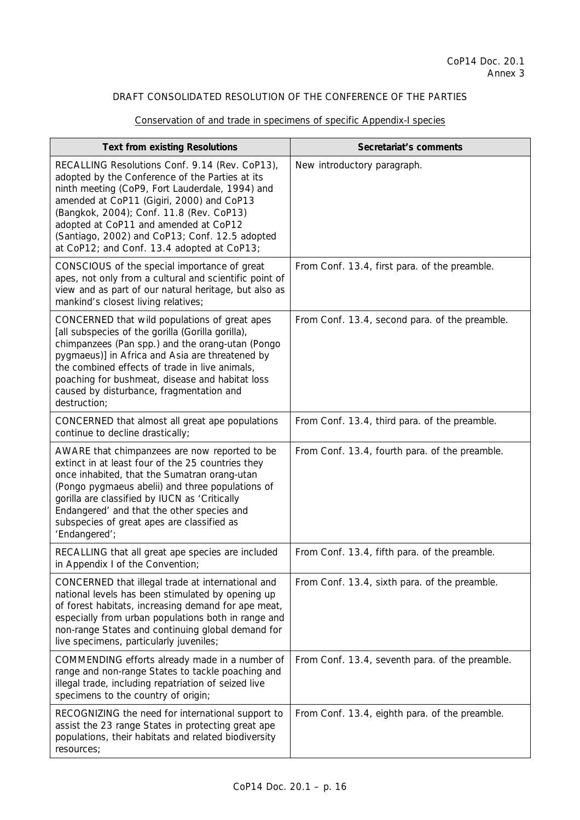| <b>Text from existing Resolutions</b>                                                                                                                                                                                                                                                                                                                                                  | Secretariat's comments                          |
|----------------------------------------------------------------------------------------------------------------------------------------------------------------------------------------------------------------------------------------------------------------------------------------------------------------------------------------------------------------------------------------|-------------------------------------------------|
| RECALLING Resolutions Conf. 9.14 (Rev. CoP13),<br>adopted by the Conference of the Parties at its<br>ninth meeting (CoP9, Fort Lauderdale, 1994) and<br>amended at CoP11 (Gigiri, 2000) and CoP13<br>(Bangkok, 2004); Conf. 11.8 (Rev. CoP13)<br>adopted at CoP11 and amended at CoP12<br>(Santiago, 2002) and CoP13; Conf. 12.5 adopted<br>at CoP12; and Conf. 13.4 adopted at CoP13; | New introductory paragraph.                     |
| CONSCIOUS of the special importance of great<br>apes, not only from a cultural and scientific point of<br>view and as part of our natural heritage, but also as<br>mankind's closest living relatives;                                                                                                                                                                                 | From Conf. 13.4, first para. of the preamble.   |
| CONCERNED that wild populations of great apes<br>[all subspecies of the gorilla (Gorilla gorilla),<br>chimpanzees (Pan spp.) and the orang-utan (Pongo<br>pygmaeus)] in Africa and Asia are threatened by<br>the combined effects of trade in live animals,<br>poaching for bushmeat, disease and habitat loss<br>caused by disturbance, fragmentation and<br>destruction;             | From Conf. 13.4, second para. of the preamble.  |
| CONCERNED that almost all great ape populations<br>continue to decline drastically;                                                                                                                                                                                                                                                                                                    | From Conf. 13.4, third para. of the preamble.   |
| AWARE that chimpanzees are now reported to be<br>extinct in at least four of the 25 countries they<br>once inhabited, that the Sumatran orang-utan<br>(Pongo pygmaeus abelii) and three populations of<br>gorilla are classified by IUCN as 'Critically<br>Endangered' and that the other species and<br>subspecies of great apes are classified as<br>'Endangered';                   | From Conf. 13.4, fourth para. of the preamble.  |
| RECALLING that all great ape species are included<br>in Appendix I of the Convention;                                                                                                                                                                                                                                                                                                  | From Conf. 13.4, fifth para. of the preamble.   |
| CONCERNED that illegal trade at international and<br>national levels has been stimulated by opening up<br>of forest habitats, increasing demand for ape meat,<br>especially from urban populations both in range and<br>non-range States and continuing global demand for<br>live specimens, particularly juveniles;                                                                   | From Conf. 13.4, sixth para. of the preamble.   |
| COMMENDING efforts already made in a number of<br>range and non-range States to tackle poaching and<br>illegal trade, including repatriation of seized live<br>specimens to the country of origin;                                                                                                                                                                                     | From Conf. 13.4, seventh para. of the preamble. |
| RECOGNIZING the need for international support to<br>assist the 23 range States in protecting great ape<br>populations, their habitats and related biodiversity<br>resources;                                                                                                                                                                                                          | From Conf. 13.4, eighth para. of the preamble.  |

# Conservation of and trade in specimens of specific Appendix-I species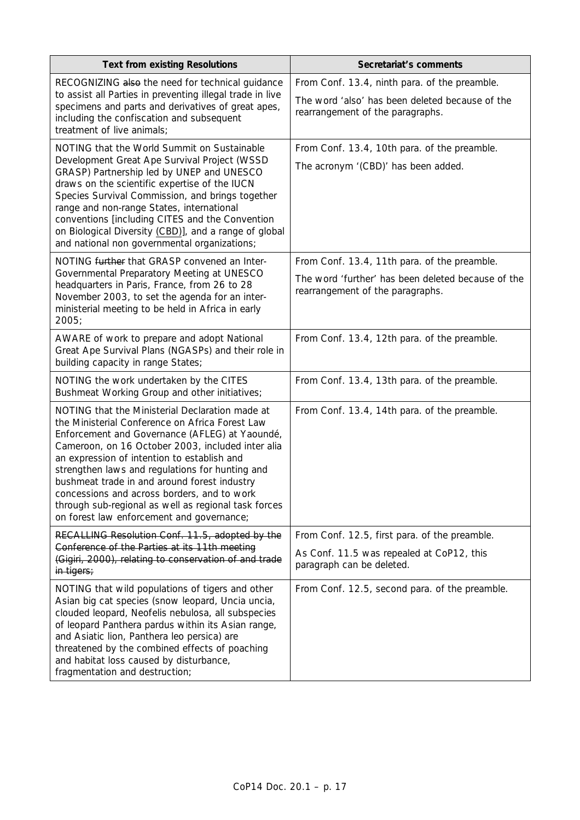| <b>Text from existing Resolutions</b>                                                                                                                                                                                                                                                                                                                                                                                                                                                                           | Secretariat's comments                                                                                                                 |
|-----------------------------------------------------------------------------------------------------------------------------------------------------------------------------------------------------------------------------------------------------------------------------------------------------------------------------------------------------------------------------------------------------------------------------------------------------------------------------------------------------------------|----------------------------------------------------------------------------------------------------------------------------------------|
| RECOGNIZING also the need for technical guidance<br>to assist all Parties in preventing illegal trade in live<br>specimens and parts and derivatives of great apes,<br>including the confiscation and subsequent<br>treatment of live animals;                                                                                                                                                                                                                                                                  | From Conf. 13.4, ninth para. of the preamble.<br>The word 'also' has been deleted because of the<br>rearrangement of the paragraphs.   |
| NOTING that the World Summit on Sustainable<br>Development Great Ape Survival Project (WSSD<br>GRASP) Partnership led by UNEP and UNESCO<br>draws on the scientific expertise of the IUCN<br>Species Survival Commission, and brings together<br>range and non-range States, international<br>conventions [including CITES and the Convention<br>on Biological Diversity (CBD)], and a range of global<br>and national non governmental organizations;                                                          | From Conf. 13.4, 10th para. of the preamble.<br>The acronym '(CBD)' has been added.                                                    |
| NOTING further that GRASP convened an Inter-<br>Governmental Preparatory Meeting at UNESCO<br>headquarters in Paris, France, from 26 to 28<br>November 2003, to set the agenda for an inter-<br>ministerial meeting to be held in Africa in early<br>2005;                                                                                                                                                                                                                                                      | From Conf. 13.4, 11th para. of the preamble.<br>The word 'further' has been deleted because of the<br>rearrangement of the paragraphs. |
| AWARE of work to prepare and adopt National<br>Great Ape Survival Plans (NGASPs) and their role in<br>building capacity in range States;                                                                                                                                                                                                                                                                                                                                                                        | From Conf. 13.4, 12th para. of the preamble.                                                                                           |
| NOTING the work undertaken by the CITES<br>Bushmeat Working Group and other initiatives;                                                                                                                                                                                                                                                                                                                                                                                                                        | From Conf. 13.4, 13th para. of the preamble.                                                                                           |
| NOTING that the Ministerial Declaration made at<br>the Ministerial Conference on Africa Forest Law<br>Enforcement and Governance (AFLEG) at Yaoundé,<br>Cameroon, on 16 October 2003, included inter alia<br>an expression of intention to establish and<br>strengthen laws and regulations for hunting and<br>bushmeat trade in and around forest industry<br>concessions and across borders, and to work<br>through sub-regional as well as regional task forces<br>on forest law enforcement and governance; | From Conf. 13.4, 14th para. of the preamble.                                                                                           |
| RECALLING Resolution Conf. 11.5, adopted by the<br>Conference of the Parties at its 11th meeting<br>(Gigiri, 2000), relating to conservation of and trade<br>in tigers;                                                                                                                                                                                                                                                                                                                                         | From Conf. 12.5, first para. of the preamble.<br>As Conf. 11.5 was repealed at CoP12, this<br>paragraph can be deleted.                |
| NOTING that wild populations of tigers and other<br>Asian big cat species (snow leopard, Uncia uncia,<br>clouded leopard, Neofelis nebulosa, all subspecies<br>of leopard Panthera pardus within its Asian range,<br>and Asiatic lion, Panthera leo persica) are<br>threatened by the combined effects of poaching<br>and habitat loss caused by disturbance,<br>fragmentation and destruction;                                                                                                                 | From Conf. 12.5, second para. of the preamble.                                                                                         |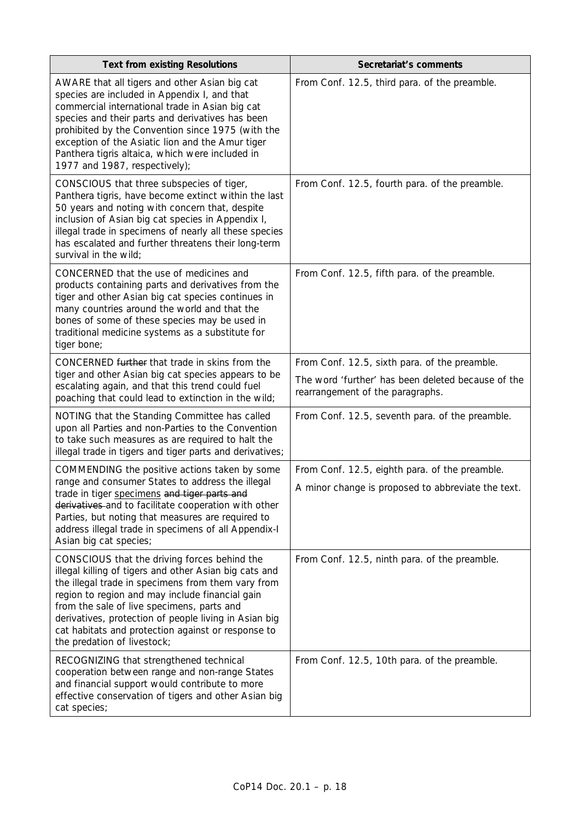| <b>Text from existing Resolutions</b>                                                                                                                                                                                                                                                                                                                                                                       | Secretariat's comments                                                                                                                  |
|-------------------------------------------------------------------------------------------------------------------------------------------------------------------------------------------------------------------------------------------------------------------------------------------------------------------------------------------------------------------------------------------------------------|-----------------------------------------------------------------------------------------------------------------------------------------|
| AWARE that all tigers and other Asian big cat<br>species are included in Appendix I, and that<br>commercial international trade in Asian big cat<br>species and their parts and derivatives has been<br>prohibited by the Convention since 1975 (with the<br>exception of the Asiatic lion and the Amur tiger<br>Panthera tigris altaica, which were included in<br>1977 and 1987, respectively);           | From Conf. 12.5, third para. of the preamble.                                                                                           |
| CONSCIOUS that three subspecies of tiger,<br>Panthera tigris, have become extinct within the last<br>50 years and noting with concern that, despite<br>inclusion of Asian big cat species in Appendix I,<br>illegal trade in specimens of nearly all these species<br>has escalated and further threatens their long-term<br>survival in the wild;                                                          | From Conf. 12.5, fourth para. of the preamble.                                                                                          |
| CONCERNED that the use of medicines and<br>products containing parts and derivatives from the<br>tiger and other Asian big cat species continues in<br>many countries around the world and that the<br>bones of some of these species may be used in<br>traditional medicine systems as a substitute for<br>tiger bone;                                                                                     | From Conf. 12.5, fifth para. of the preamble.                                                                                           |
| CONCERNED further that trade in skins from the<br>tiger and other Asian big cat species appears to be<br>escalating again, and that this trend could fuel<br>poaching that could lead to extinction in the wild;                                                                                                                                                                                            | From Conf. 12.5, sixth para. of the preamble.<br>The word 'further' has been deleted because of the<br>rearrangement of the paragraphs. |
| NOTING that the Standing Committee has called<br>upon all Parties and non-Parties to the Convention<br>to take such measures as are required to halt the<br>illegal trade in tigers and tiger parts and derivatives;                                                                                                                                                                                        | From Conf. 12.5, seventh para. of the preamble.                                                                                         |
| COMMENDING the positive actions taken by some<br>range and consumer States to address the illegal<br>trade in tiger specimens and tiger parts and<br>derivatives and to facilitate cooperation with other<br>Parties, but noting that measures are required to<br>address illegal trade in specimens of all Appendix-I<br>Asian big cat species;                                                            | From Conf. 12.5, eighth para. of the preamble.<br>A minor change is proposed to abbreviate the text.                                    |
| CONSCIOUS that the driving forces behind the<br>illegal killing of tigers and other Asian big cats and<br>the illegal trade in specimens from them vary from<br>region to region and may include financial gain<br>from the sale of live specimens, parts and<br>derivatives, protection of people living in Asian big<br>cat habitats and protection against or response to<br>the predation of livestock; | From Conf. 12.5, ninth para. of the preamble.                                                                                           |
| RECOGNIZING that strengthened technical<br>cooperation between range and non-range States<br>and financial support would contribute to more<br>effective conservation of tigers and other Asian big<br>cat species;                                                                                                                                                                                         | From Conf. 12.5, 10th para. of the preamble.                                                                                            |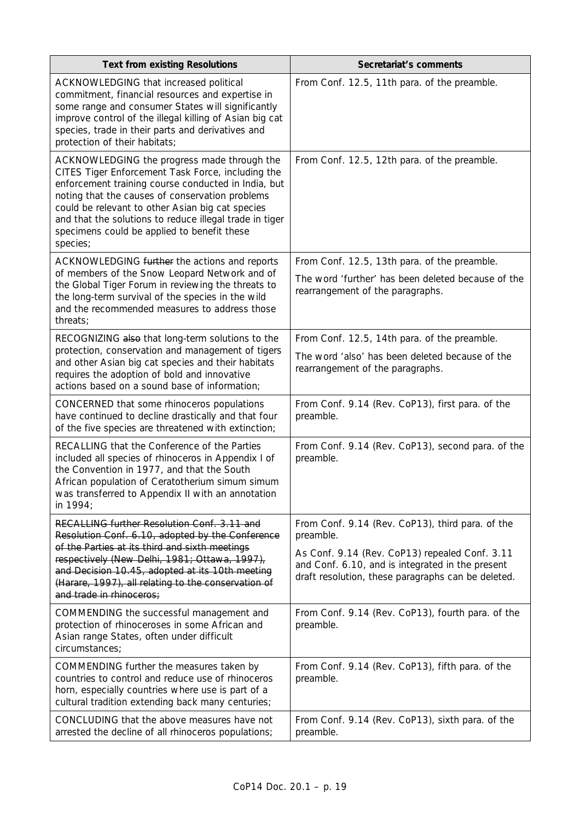| <b>Text from existing Resolutions</b>                                                                                                                                                                                                                                                                                                                                                | Secretariat's comments                                                                                                                                                                                                    |
|--------------------------------------------------------------------------------------------------------------------------------------------------------------------------------------------------------------------------------------------------------------------------------------------------------------------------------------------------------------------------------------|---------------------------------------------------------------------------------------------------------------------------------------------------------------------------------------------------------------------------|
| ACKNOWLEDGING that increased political<br>commitment, financial resources and expertise in<br>some range and consumer States will significantly<br>improve control of the illegal killing of Asian big cat<br>species, trade in their parts and derivatives and<br>protection of their habitats;                                                                                     | From Conf. 12.5, 11th para. of the preamble.                                                                                                                                                                              |
| ACKNOWLEDGING the progress made through the<br>CITES Tiger Enforcement Task Force, including the<br>enforcement training course conducted in India, but<br>noting that the causes of conservation problems<br>could be relevant to other Asian big cat species<br>and that the solutions to reduce illegal trade in tiger<br>specimens could be applied to benefit these<br>species; | From Conf. 12.5, 12th para. of the preamble.                                                                                                                                                                              |
| ACKNOWLEDGING further the actions and reports<br>of members of the Snow Leopard Network and of<br>the Global Tiger Forum in reviewing the threats to<br>the long-term survival of the species in the wild<br>and the recommended measures to address those<br>threats;                                                                                                               | From Conf. 12.5, 13th para. of the preamble.<br>The word 'further' has been deleted because of the<br>rearrangement of the paragraphs.                                                                                    |
| RECOGNIZING also that long-term solutions to the<br>protection, conservation and management of tigers<br>and other Asian big cat species and their habitats<br>requires the adoption of bold and innovative<br>actions based on a sound base of information;                                                                                                                         | From Conf. 12.5, 14th para. of the preamble.<br>The word 'also' has been deleted because of the<br>rearrangement of the paragraphs.                                                                                       |
| CONCERNED that some rhinoceros populations<br>have continued to decline drastically and that four<br>of the five species are threatened with extinction;                                                                                                                                                                                                                             | From Conf. 9.14 (Rev. CoP13), first para. of the<br>preamble.                                                                                                                                                             |
| RECALLING that the Conference of the Parties<br>included all species of rhinoceros in Appendix I of<br>the Convention in 1977, and that the South<br>African population of Ceratotherium simum simum<br>was transferred to Appendix II with an annotation<br>in 1994;                                                                                                                | From Conf. 9.14 (Rev. CoP13), second para. of the<br>preamble.                                                                                                                                                            |
| RECALLING further Resolution Conf. 3.11 and<br>Resolution Conf. 6.10, adopted by the Conference<br>of the Parties at its third and sixth meetings<br>respectively (New Delhi, 1981; Ottawa, 1997),<br>and Decision 10.45, adopted at its 10th meeting<br>(Harare, 1997), all relating to the conservation of<br>and trade in rhinoceros:                                             | From Conf. 9.14 (Rev. CoP13), third para. of the<br>preamble.<br>As Conf. 9.14 (Rev. CoP13) repealed Conf. 3.11<br>and Conf. 6.10, and is integrated in the present<br>draft resolution, these paragraphs can be deleted. |
| COMMENDING the successful management and<br>protection of rhinoceroses in some African and<br>Asian range States, often under difficult<br>circumstances;                                                                                                                                                                                                                            | From Conf. 9.14 (Rev. CoP13), fourth para. of the<br>preamble.                                                                                                                                                            |
| COMMENDING further the measures taken by<br>countries to control and reduce use of rhinoceros<br>horn, especially countries where use is part of a<br>cultural tradition extending back many centuries;                                                                                                                                                                              | From Conf. 9.14 (Rev. CoP13), fifth para. of the<br>preamble.                                                                                                                                                             |
| CONCLUDING that the above measures have not<br>arrested the decline of all rhinoceros populations;                                                                                                                                                                                                                                                                                   | From Conf. 9.14 (Rev. CoP13), sixth para. of the<br>preamble.                                                                                                                                                             |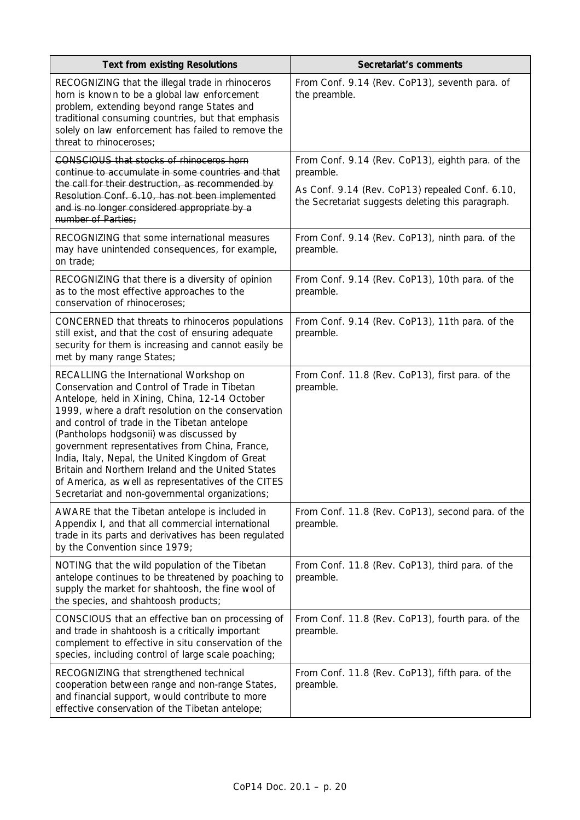| <b>Text from existing Resolutions</b>                                                                                                                                                                                                                                                                                                                                                                                                                                                                                                                            | Secretariat's comments                                                                               |
|------------------------------------------------------------------------------------------------------------------------------------------------------------------------------------------------------------------------------------------------------------------------------------------------------------------------------------------------------------------------------------------------------------------------------------------------------------------------------------------------------------------------------------------------------------------|------------------------------------------------------------------------------------------------------|
| RECOGNIZING that the illegal trade in rhinoceros<br>horn is known to be a global law enforcement<br>problem, extending beyond range States and<br>traditional consuming countries, but that emphasis<br>solely on law enforcement has failed to remove the<br>threat to rhinoceroses;                                                                                                                                                                                                                                                                            | From Conf. 9.14 (Rev. CoP13), seventh para. of<br>the preamble.                                      |
| <b>CONSCIOUS that stocks of rhinoceros horn</b><br>continue to accumulate in some countries and that                                                                                                                                                                                                                                                                                                                                                                                                                                                             | From Conf. 9.14 (Rev. CoP13), eighth para. of the<br>preamble.                                       |
| the call for their destruction, as recommended by<br>Resolution Conf. 6.10, has not been implemented<br>and is no longer considered appropriate by a<br>number of Parties;                                                                                                                                                                                                                                                                                                                                                                                       | As Conf. 9.14 (Rev. CoP13) repealed Conf. 6.10,<br>the Secretariat suggests deleting this paragraph. |
| RECOGNIZING that some international measures<br>may have unintended consequences, for example,<br>on trade:                                                                                                                                                                                                                                                                                                                                                                                                                                                      | From Conf. 9.14 (Rev. CoP13), ninth para. of the<br>preamble.                                        |
| RECOGNIZING that there is a diversity of opinion<br>as to the most effective approaches to the<br>conservation of rhinoceroses;                                                                                                                                                                                                                                                                                                                                                                                                                                  | From Conf. 9.14 (Rev. CoP13), 10th para. of the<br>preamble.                                         |
| CONCERNED that threats to rhinoceros populations<br>still exist, and that the cost of ensuring adequate<br>security for them is increasing and cannot easily be<br>met by many range States;                                                                                                                                                                                                                                                                                                                                                                     | From Conf. 9.14 (Rev. CoP13), 11th para. of the<br>preamble.                                         |
| RECALLING the International Workshop on<br>Conservation and Control of Trade in Tibetan<br>Antelope, held in Xining, China, 12-14 October<br>1999, where a draft resolution on the conservation<br>and control of trade in the Tibetan antelope<br>(Pantholops hodgsonii) was discussed by<br>government representatives from China, France,<br>India, Italy, Nepal, the United Kingdom of Great<br>Britain and Northern Ireland and the United States<br>of America, as well as representatives of the CITES<br>Secretariat and non-governmental organizations; | From Conf. 11.8 (Rev. CoP13), first para. of the<br>preamble.                                        |
| AWARE that the Tibetan antelope is included in<br>Appendix I, and that all commercial international<br>trade in its parts and derivatives has been regulated<br>by the Convention since 1979;                                                                                                                                                                                                                                                                                                                                                                    | From Conf. 11.8 (Rev. CoP13), second para. of the<br>preamble.                                       |
| NOTING that the wild population of the Tibetan<br>antelope continues to be threatened by poaching to<br>supply the market for shahtoosh, the fine wool of<br>the species, and shahtoosh products;                                                                                                                                                                                                                                                                                                                                                                | From Conf. 11.8 (Rev. CoP13), third para. of the<br>preamble.                                        |
| CONSCIOUS that an effective ban on processing of<br>and trade in shahtoosh is a critically important<br>complement to effective in situ conservation of the<br>species, including control of large scale poaching;                                                                                                                                                                                                                                                                                                                                               | From Conf. 11.8 (Rev. CoP13), fourth para. of the<br>preamble.                                       |
| RECOGNIZING that strengthened technical<br>cooperation between range and non-range States,<br>and financial support, would contribute to more<br>effective conservation of the Tibetan antelope;                                                                                                                                                                                                                                                                                                                                                                 | From Conf. 11.8 (Rev. CoP13), fifth para. of the<br>preamble.                                        |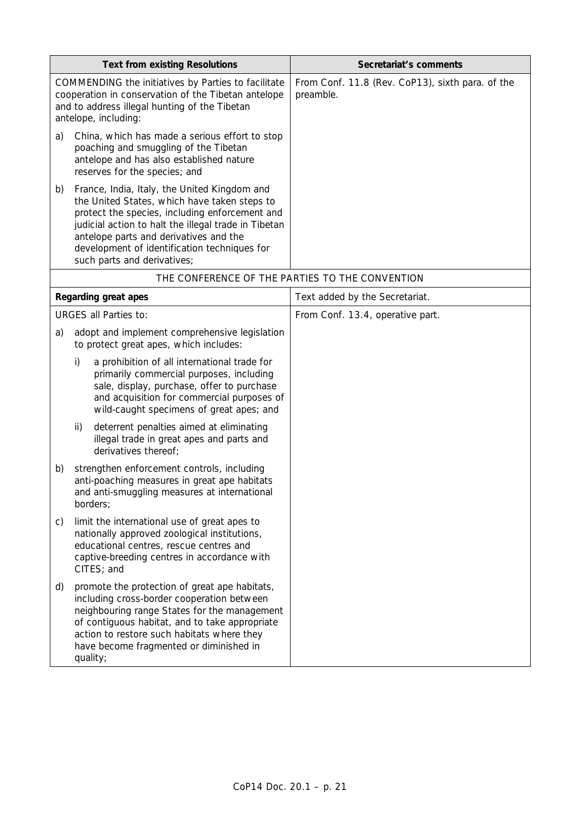| <b>Text from existing Resolutions</b>                                                                                                                                               |                                                                                                                                                                                                                                                                                                                                 | Secretariat's comments                                        |
|-------------------------------------------------------------------------------------------------------------------------------------------------------------------------------------|---------------------------------------------------------------------------------------------------------------------------------------------------------------------------------------------------------------------------------------------------------------------------------------------------------------------------------|---------------------------------------------------------------|
| COMMENDING the initiatives by Parties to facilitate<br>cooperation in conservation of the Tibetan antelope<br>and to address illegal hunting of the Tibetan<br>antelope, including: |                                                                                                                                                                                                                                                                                                                                 | From Conf. 11.8 (Rev. CoP13), sixth para. of the<br>preamble. |
| a)                                                                                                                                                                                  | China, which has made a serious effort to stop<br>poaching and smuggling of the Tibetan<br>antelope and has also established nature<br>reserves for the species; and                                                                                                                                                            |                                                               |
| b)                                                                                                                                                                                  | France, India, Italy, the United Kingdom and<br>the United States, which have taken steps to<br>protect the species, including enforcement and<br>judicial action to halt the illegal trade in Tibetan<br>antelope parts and derivatives and the<br>development of identification techniques for<br>such parts and derivatives; |                                                               |
|                                                                                                                                                                                     |                                                                                                                                                                                                                                                                                                                                 | THE CONFERENCE OF THE PARTIES TO THE CONVENTION               |
|                                                                                                                                                                                     | Regarding great apes                                                                                                                                                                                                                                                                                                            | Text added by the Secretariat.                                |
|                                                                                                                                                                                     | <b>URGES all Parties to:</b>                                                                                                                                                                                                                                                                                                    | From Conf. 13.4, operative part.                              |
| a)                                                                                                                                                                                  | adopt and implement comprehensive legislation<br>to protect great apes, which includes:                                                                                                                                                                                                                                         |                                                               |
|                                                                                                                                                                                     | i)<br>a prohibition of all international trade for<br>primarily commercial purposes, including<br>sale, display, purchase, offer to purchase<br>and acquisition for commercial purposes of<br>wild-caught specimens of great apes; and                                                                                          |                                                               |
|                                                                                                                                                                                     | deterrent penalties aimed at eliminating<br>ii)<br>illegal trade in great apes and parts and<br>derivatives thereof;                                                                                                                                                                                                            |                                                               |
| b)                                                                                                                                                                                  | strengthen enforcement controls, including<br>anti-poaching measures in great ape habitats<br>and anti-smuggling measures at international<br>borders;                                                                                                                                                                          |                                                               |
| C)                                                                                                                                                                                  | limit the international use of great apes to<br>nationally approved zoological institutions,<br>educational centres, rescue centres and<br>captive-breeding centres in accordance with<br>CITES; and                                                                                                                            |                                                               |
| d)                                                                                                                                                                                  | promote the protection of great ape habitats,<br>including cross-border cooperation between<br>neighbouring range States for the management<br>of contiguous habitat, and to take appropriate<br>action to restore such habitats where they<br>have become fragmented or diminished in<br>quality;                              |                                                               |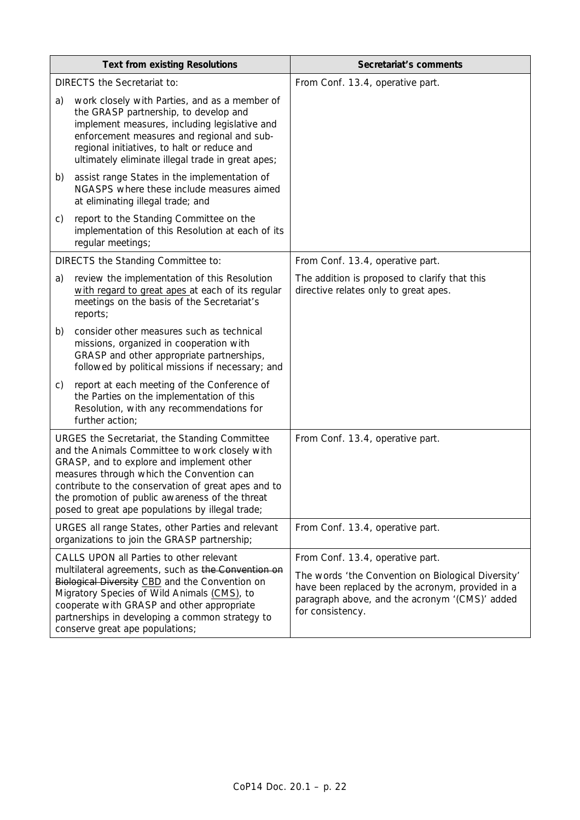| <b>Text from existing Resolutions</b>                                                                                                                                                                                                                                                                                                                   |                                                                                                                                                                                                                                                                                           | Secretariat's comments                                                                                                                                                                                           |
|---------------------------------------------------------------------------------------------------------------------------------------------------------------------------------------------------------------------------------------------------------------------------------------------------------------------------------------------------------|-------------------------------------------------------------------------------------------------------------------------------------------------------------------------------------------------------------------------------------------------------------------------------------------|------------------------------------------------------------------------------------------------------------------------------------------------------------------------------------------------------------------|
| <b>DIRECTS the Secretariat to:</b>                                                                                                                                                                                                                                                                                                                      |                                                                                                                                                                                                                                                                                           | From Conf. 13.4, operative part.                                                                                                                                                                                 |
| a)                                                                                                                                                                                                                                                                                                                                                      | work closely with Parties, and as a member of<br>the GRASP partnership, to develop and<br>implement measures, including legislative and<br>enforcement measures and regional and sub-<br>regional initiatives, to halt or reduce and<br>ultimately eliminate illegal trade in great apes; |                                                                                                                                                                                                                  |
| b)                                                                                                                                                                                                                                                                                                                                                      | assist range States in the implementation of<br>NGASPS where these include measures aimed<br>at eliminating illegal trade; and                                                                                                                                                            |                                                                                                                                                                                                                  |
| C)                                                                                                                                                                                                                                                                                                                                                      | report to the Standing Committee on the<br>implementation of this Resolution at each of its<br>regular meetings;                                                                                                                                                                          |                                                                                                                                                                                                                  |
|                                                                                                                                                                                                                                                                                                                                                         | DIRECTS the Standing Committee to:                                                                                                                                                                                                                                                        | From Conf. 13.4, operative part.                                                                                                                                                                                 |
| a)                                                                                                                                                                                                                                                                                                                                                      | review the implementation of this Resolution<br>with regard to great apes at each of its regular<br>meetings on the basis of the Secretariat's<br>reports;                                                                                                                                | The addition is proposed to clarify that this<br>directive relates only to great apes.                                                                                                                           |
| b)                                                                                                                                                                                                                                                                                                                                                      | consider other measures such as technical<br>missions, organized in cooperation with<br>GRASP and other appropriate partnerships,<br>followed by political missions if necessary; and                                                                                                     |                                                                                                                                                                                                                  |
| C)                                                                                                                                                                                                                                                                                                                                                      | report at each meeting of the Conference of<br>the Parties on the implementation of this<br>Resolution, with any recommendations for<br>further action;                                                                                                                                   |                                                                                                                                                                                                                  |
| URGES the Secretariat, the Standing Committee<br>and the Animals Committee to work closely with<br>GRASP, and to explore and implement other<br>measures through which the Convention can<br>contribute to the conservation of great apes and to<br>the promotion of public awareness of the threat<br>posed to great ape populations by illegal trade; |                                                                                                                                                                                                                                                                                           | From Conf. 13.4, operative part.                                                                                                                                                                                 |
| URGES all range States, other Parties and relevant<br>organizations to join the GRASP partnership;                                                                                                                                                                                                                                                      |                                                                                                                                                                                                                                                                                           | From Conf. 13.4, operative part.                                                                                                                                                                                 |
| CALLS UPON all Parties to other relevant<br>multilateral agreements, such as the Convention on<br>Biological Diversity CBD and the Convention on<br>Migratory Species of Wild Animals (CMS), to<br>cooperate with GRASP and other appropriate<br>partnerships in developing a common strategy to<br>conserve great ape populations;                     |                                                                                                                                                                                                                                                                                           | From Conf. 13.4, operative part.<br>The words 'the Convention on Biological Diversity'<br>have been replaced by the acronym, provided in a<br>paragraph above, and the acronym '(CMS)' added<br>for consistency. |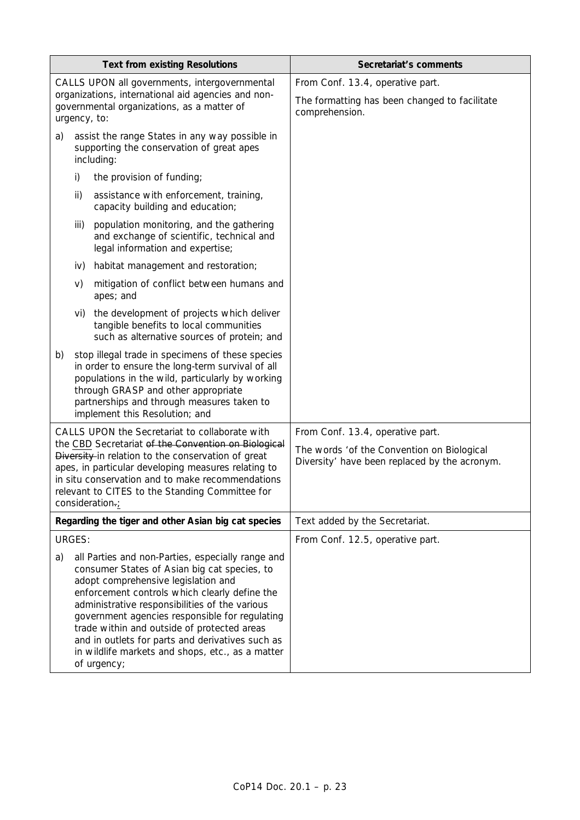| <b>Text from existing Resolutions</b>                                                                                                                                                                                                                                                                                                                                                                                                                                     |        |                                                                                                                                                                                                                                                                                 | Secretariat's comments                                                                                                          |
|---------------------------------------------------------------------------------------------------------------------------------------------------------------------------------------------------------------------------------------------------------------------------------------------------------------------------------------------------------------------------------------------------------------------------------------------------------------------------|--------|---------------------------------------------------------------------------------------------------------------------------------------------------------------------------------------------------------------------------------------------------------------------------------|---------------------------------------------------------------------------------------------------------------------------------|
| CALLS UPON all governments, intergovernmental<br>organizations, international aid agencies and non-<br>governmental organizations, as a matter of<br>urgency, to:                                                                                                                                                                                                                                                                                                         |        |                                                                                                                                                                                                                                                                                 | From Conf. 13.4, operative part.<br>The formatting has been changed to facilitate<br>comprehension.                             |
| a)                                                                                                                                                                                                                                                                                                                                                                                                                                                                        |        | assist the range States in any way possible in<br>supporting the conservation of great apes<br>including:                                                                                                                                                                       |                                                                                                                                 |
|                                                                                                                                                                                                                                                                                                                                                                                                                                                                           | i)     | the provision of funding;                                                                                                                                                                                                                                                       |                                                                                                                                 |
|                                                                                                                                                                                                                                                                                                                                                                                                                                                                           | ii)    | assistance with enforcement, training,<br>capacity building and education;                                                                                                                                                                                                      |                                                                                                                                 |
|                                                                                                                                                                                                                                                                                                                                                                                                                                                                           | iii)   | population monitoring, and the gathering<br>and exchange of scientific, technical and<br>legal information and expertise;                                                                                                                                                       |                                                                                                                                 |
|                                                                                                                                                                                                                                                                                                                                                                                                                                                                           | iv)    | habitat management and restoration;                                                                                                                                                                                                                                             |                                                                                                                                 |
|                                                                                                                                                                                                                                                                                                                                                                                                                                                                           | V)     | mitigation of conflict between humans and<br>apes; and                                                                                                                                                                                                                          |                                                                                                                                 |
|                                                                                                                                                                                                                                                                                                                                                                                                                                                                           | vi)    | the development of projects which deliver<br>tangible benefits to local communities<br>such as alternative sources of protein; and                                                                                                                                              |                                                                                                                                 |
| b)                                                                                                                                                                                                                                                                                                                                                                                                                                                                        |        | stop illegal trade in specimens of these species<br>in order to ensure the long-term survival of all<br>populations in the wild, particularly by working<br>through GRASP and other appropriate<br>partnerships and through measures taken to<br>implement this Resolution; and |                                                                                                                                 |
| CALLS UPON the Secretariat to collaborate with<br>the CBD Secretariat of the Convention on Biological<br>Diversity in relation to the conservation of great<br>apes, in particular developing measures relating to<br>in situ conservation and to make recommendations<br>relevant to CITES to the Standing Committee for<br>consideration.;                                                                                                                              |        |                                                                                                                                                                                                                                                                                 | From Conf. 13.4, operative part.<br>The words 'of the Convention on Biological<br>Diversity' have been replaced by the acronym. |
| Regarding the tiger and other Asian big cat species                                                                                                                                                                                                                                                                                                                                                                                                                       |        |                                                                                                                                                                                                                                                                                 | Text added by the Secretariat.                                                                                                  |
|                                                                                                                                                                                                                                                                                                                                                                                                                                                                           | URGES: |                                                                                                                                                                                                                                                                                 | From Conf. 12.5, operative part.                                                                                                |
| a)<br>all Parties and non-Parties, especially range and<br>consumer States of Asian big cat species, to<br>adopt comprehensive legislation and<br>enforcement controls which clearly define the<br>administrative responsibilities of the various<br>government agencies responsible for regulating<br>trade within and outside of protected areas<br>and in outlets for parts and derivatives such as<br>in wildlife markets and shops, etc., as a matter<br>of urgency; |        |                                                                                                                                                                                                                                                                                 |                                                                                                                                 |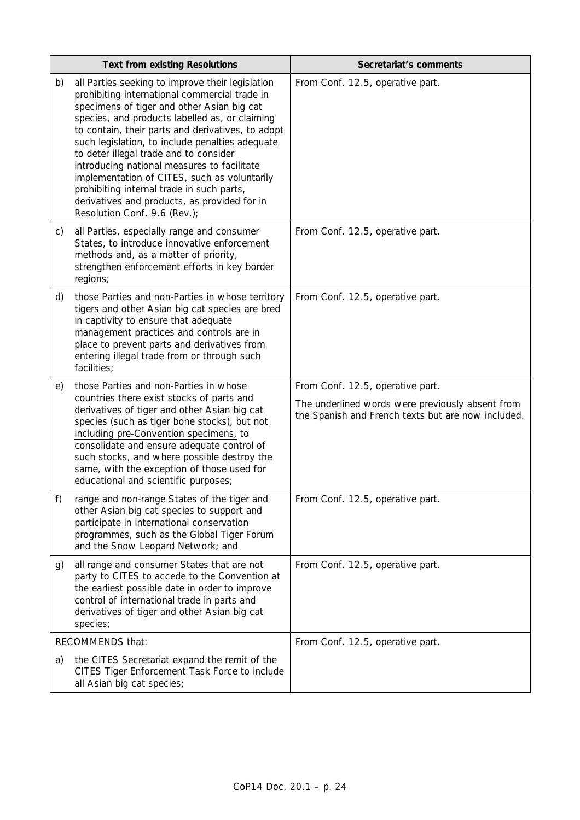|    | <b>Text from existing Resolutions</b>                                                                                                                                                                                                                                                                                                                                                                                                                                                                                                                                           | Secretariat's comments                                                                                                                     |
|----|---------------------------------------------------------------------------------------------------------------------------------------------------------------------------------------------------------------------------------------------------------------------------------------------------------------------------------------------------------------------------------------------------------------------------------------------------------------------------------------------------------------------------------------------------------------------------------|--------------------------------------------------------------------------------------------------------------------------------------------|
| b) | all Parties seeking to improve their legislation<br>prohibiting international commercial trade in<br>specimens of tiger and other Asian big cat<br>species, and products labelled as, or claiming<br>to contain, their parts and derivatives, to adopt<br>such legislation, to include penalties adequate<br>to deter illegal trade and to consider<br>introducing national measures to facilitate<br>implementation of CITES, such as voluntarily<br>prohibiting internal trade in such parts,<br>derivatives and products, as provided for in<br>Resolution Conf. 9.6 (Rev.); | From Conf. 12.5, operative part.                                                                                                           |
| C) | all Parties, especially range and consumer<br>States, to introduce innovative enforcement<br>methods and, as a matter of priority,<br>strengthen enforcement efforts in key border<br>regions;                                                                                                                                                                                                                                                                                                                                                                                  | From Conf. 12.5, operative part.                                                                                                           |
| d) | those Parties and non-Parties in whose territory<br>tigers and other Asian big cat species are bred<br>in captivity to ensure that adequate<br>management practices and controls are in<br>place to prevent parts and derivatives from<br>entering illegal trade from or through such<br>facilities;                                                                                                                                                                                                                                                                            | From Conf. 12.5, operative part.                                                                                                           |
| e) | those Parties and non-Parties in whose<br>countries there exist stocks of parts and<br>derivatives of tiger and other Asian big cat<br>species (such as tiger bone stocks), but not<br>including pre-Convention specimens, to<br>consolidate and ensure adequate control of<br>such stocks, and where possible destroy the<br>same, with the exception of those used for<br>educational and scientific purposes;                                                                                                                                                                | From Conf. 12.5, operative part.<br>The underlined words were previously absent from<br>the Spanish and French texts but are now included. |
| f) | range and non-range States of the tiger and<br>other Asian big cat species to support and<br>participate in international conservation<br>programmes, such as the Global Tiger Forum<br>and the Snow Leopard Network; and                                                                                                                                                                                                                                                                                                                                                       | From Conf. 12.5, operative part.                                                                                                           |
| g) | all range and consumer States that are not<br>party to CITES to accede to the Convention at<br>the earliest possible date in order to improve<br>control of international trade in parts and<br>derivatives of tiger and other Asian big cat<br>species;                                                                                                                                                                                                                                                                                                                        | From Conf. 12.5, operative part.                                                                                                           |
|    | RECOMMENDS that:                                                                                                                                                                                                                                                                                                                                                                                                                                                                                                                                                                | From Conf. 12.5, operative part.                                                                                                           |
| a) | the CITES Secretariat expand the remit of the<br>CITES Tiger Enforcement Task Force to include<br>all Asian big cat species;                                                                                                                                                                                                                                                                                                                                                                                                                                                    |                                                                                                                                            |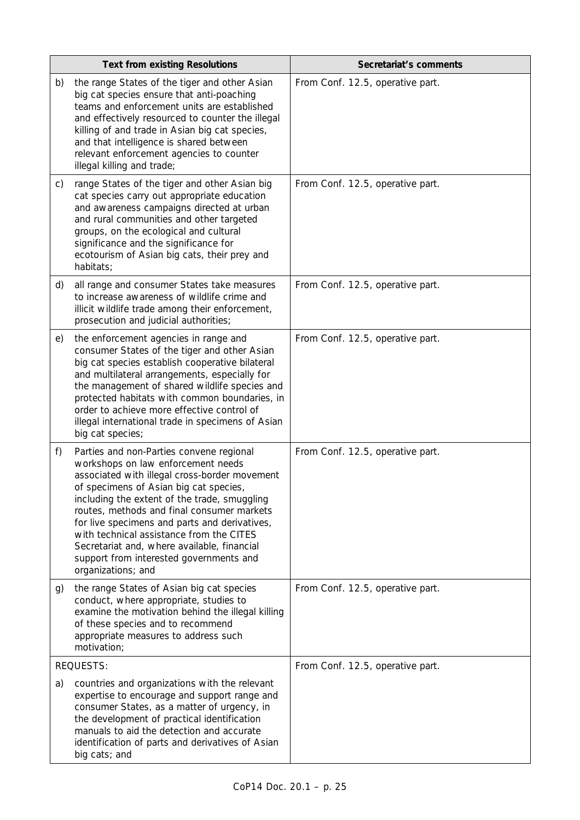|    | <b>Text from existing Resolutions</b>                                                                                                                                                                                                                                                                                                                                                                                                                                                | Secretariat's comments           |
|----|--------------------------------------------------------------------------------------------------------------------------------------------------------------------------------------------------------------------------------------------------------------------------------------------------------------------------------------------------------------------------------------------------------------------------------------------------------------------------------------|----------------------------------|
| b) | the range States of the tiger and other Asian<br>big cat species ensure that anti-poaching<br>teams and enforcement units are established<br>and effectively resourced to counter the illegal<br>killing of and trade in Asian big cat species,<br>and that intelligence is shared between<br>relevant enforcement agencies to counter<br>illegal killing and trade;                                                                                                                 | From Conf. 12.5, operative part. |
| C) | range States of the tiger and other Asian big<br>cat species carry out appropriate education<br>and awareness campaigns directed at urban<br>and rural communities and other targeted<br>groups, on the ecological and cultural<br>significance and the significance for<br>ecotourism of Asian big cats, their prey and<br>habitats;                                                                                                                                                | From Conf. 12.5, operative part. |
| d) | all range and consumer States take measures<br>to increase awareness of wildlife crime and<br>illicit wildlife trade among their enforcement,<br>prosecution and judicial authorities;                                                                                                                                                                                                                                                                                               | From Conf. 12.5, operative part. |
| e) | the enforcement agencies in range and<br>consumer States of the tiger and other Asian<br>big cat species establish cooperative bilateral<br>and multilateral arrangements, especially for<br>the management of shared wildlife species and<br>protected habitats with common boundaries, in<br>order to achieve more effective control of<br>illegal international trade in specimens of Asian<br>big cat species;                                                                   | From Conf. 12.5, operative part. |
| f) | Parties and non-Parties convene regional<br>workshops on law enforcement needs<br>associated with illegal cross-border movement<br>of specimens of Asian big cat species,<br>including the extent of the trade, smuggling<br>routes, methods and final consumer markets<br>for live specimens and parts and derivatives,<br>with technical assistance from the CITES<br>Secretariat and, where available, financial<br>support from interested governments and<br>organizations; and | From Conf. 12.5, operative part. |
| g) | the range States of Asian big cat species<br>conduct, where appropriate, studies to<br>examine the motivation behind the illegal killing<br>of these species and to recommend<br>appropriate measures to address such<br>motivation;                                                                                                                                                                                                                                                 | From Conf. 12.5, operative part. |
|    | <b>REQUESTS:</b>                                                                                                                                                                                                                                                                                                                                                                                                                                                                     | From Conf. 12.5, operative part. |
| a) | countries and organizations with the relevant<br>expertise to encourage and support range and<br>consumer States, as a matter of urgency, in<br>the development of practical identification<br>manuals to aid the detection and accurate<br>identification of parts and derivatives of Asian<br>big cats; and                                                                                                                                                                        |                                  |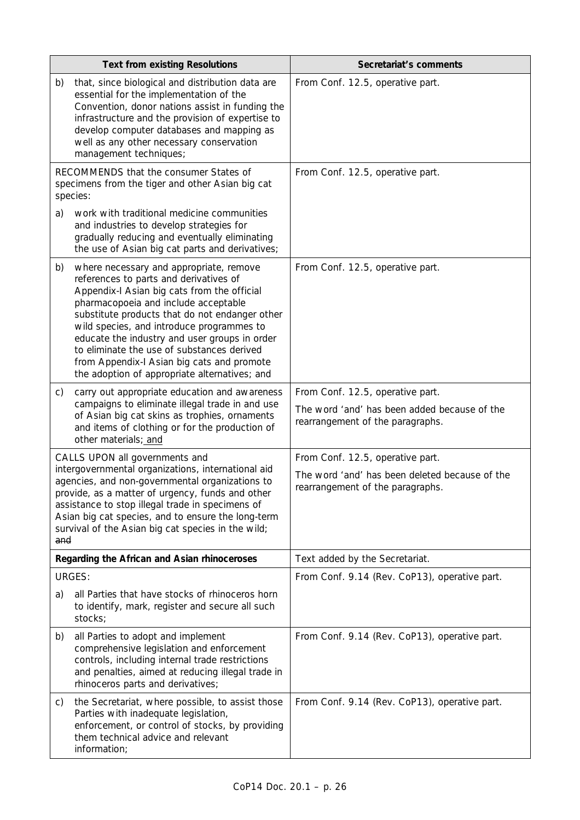| <b>Text from existing Resolutions</b>                                                                                                                                                                                                                                                                                                                              |                                                                                                                                                                                                                                                                                                                                                                                                                                                                       | Secretariat's comments                                                                                                 |
|--------------------------------------------------------------------------------------------------------------------------------------------------------------------------------------------------------------------------------------------------------------------------------------------------------------------------------------------------------------------|-----------------------------------------------------------------------------------------------------------------------------------------------------------------------------------------------------------------------------------------------------------------------------------------------------------------------------------------------------------------------------------------------------------------------------------------------------------------------|------------------------------------------------------------------------------------------------------------------------|
| b)                                                                                                                                                                                                                                                                                                                                                                 | that, since biological and distribution data are<br>essential for the implementation of the<br>Convention, donor nations assist in funding the<br>infrastructure and the provision of expertise to<br>develop computer databases and mapping as<br>well as any other necessary conservation<br>management techniques;                                                                                                                                                 | From Conf. 12.5, operative part.                                                                                       |
|                                                                                                                                                                                                                                                                                                                                                                    | RECOMMENDS that the consumer States of<br>specimens from the tiger and other Asian big cat<br>species:                                                                                                                                                                                                                                                                                                                                                                | From Conf. 12.5, operative part.                                                                                       |
| a)                                                                                                                                                                                                                                                                                                                                                                 | work with traditional medicine communities<br>and industries to develop strategies for<br>gradually reducing and eventually eliminating<br>the use of Asian big cat parts and derivatives;                                                                                                                                                                                                                                                                            |                                                                                                                        |
| b)                                                                                                                                                                                                                                                                                                                                                                 | where necessary and appropriate, remove<br>references to parts and derivatives of<br>Appendix-I Asian big cats from the official<br>pharmacopoeia and include acceptable<br>substitute products that do not endanger other<br>wild species, and introduce programmes to<br>educate the industry and user groups in order<br>to eliminate the use of substances derived<br>from Appendix-I Asian big cats and promote<br>the adoption of appropriate alternatives; and | From Conf. 12.5, operative part.                                                                                       |
| C)                                                                                                                                                                                                                                                                                                                                                                 | carry out appropriate education and awareness<br>campaigns to eliminate illegal trade in and use<br>of Asian big cat skins as trophies, ornaments<br>and items of clothing or for the production of<br>other materials; and                                                                                                                                                                                                                                           | From Conf. 12.5, operative part.<br>The word 'and' has been added because of the<br>rearrangement of the paragraphs.   |
| CALLS UPON all governments and<br>intergovernmental organizations, international aid<br>agencies, and non-governmental organizations to<br>provide, as a matter of urgency, funds and other<br>assistance to stop illegal trade in specimens of<br>Asian big cat species, and to ensure the long-term<br>survival of the Asian big cat species in the wild;<br>and |                                                                                                                                                                                                                                                                                                                                                                                                                                                                       | From Conf. 12.5, operative part.<br>The word 'and' has been deleted because of the<br>rearrangement of the paragraphs. |
|                                                                                                                                                                                                                                                                                                                                                                    | Regarding the African and Asian rhinoceroses                                                                                                                                                                                                                                                                                                                                                                                                                          | Text added by the Secretariat.                                                                                         |
|                                                                                                                                                                                                                                                                                                                                                                    | <b>URGES:</b>                                                                                                                                                                                                                                                                                                                                                                                                                                                         | From Conf. 9.14 (Rev. CoP13), operative part.                                                                          |
| a)                                                                                                                                                                                                                                                                                                                                                                 | all Parties that have stocks of rhinoceros horn<br>to identify, mark, register and secure all such<br>stocks;                                                                                                                                                                                                                                                                                                                                                         |                                                                                                                        |
| b)                                                                                                                                                                                                                                                                                                                                                                 | all Parties to adopt and implement<br>comprehensive legislation and enforcement<br>controls, including internal trade restrictions<br>and penalties, aimed at reducing illegal trade in<br>rhinoceros parts and derivatives;                                                                                                                                                                                                                                          | From Conf. 9.14 (Rev. CoP13), operative part.                                                                          |
| C)                                                                                                                                                                                                                                                                                                                                                                 | the Secretariat, where possible, to assist those<br>Parties with inadequate legislation,<br>enforcement, or control of stocks, by providing<br>them technical advice and relevant<br>information;                                                                                                                                                                                                                                                                     | From Conf. 9.14 (Rev. CoP13), operative part.                                                                          |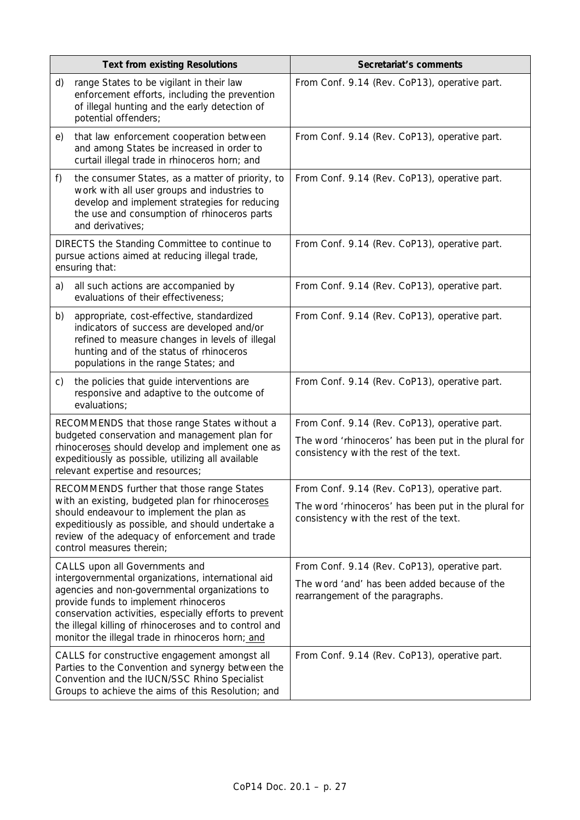| <b>Text from existing Resolutions</b>                                                                                                                                                                                                                                                                                                                    |                                                                                                                                                                                                                               | Secretariat's comments                                                                                                                          |
|----------------------------------------------------------------------------------------------------------------------------------------------------------------------------------------------------------------------------------------------------------------------------------------------------------------------------------------------------------|-------------------------------------------------------------------------------------------------------------------------------------------------------------------------------------------------------------------------------|-------------------------------------------------------------------------------------------------------------------------------------------------|
| d)                                                                                                                                                                                                                                                                                                                                                       | range States to be vigilant in their law<br>enforcement efforts, including the prevention<br>of illegal hunting and the early detection of<br>potential offenders;                                                            | From Conf. 9.14 (Rev. CoP13), operative part.                                                                                                   |
| e)                                                                                                                                                                                                                                                                                                                                                       | that law enforcement cooperation between<br>and among States be increased in order to<br>curtail illegal trade in rhinoceros horn; and                                                                                        | From Conf. 9.14 (Rev. CoP13), operative part.                                                                                                   |
| f)                                                                                                                                                                                                                                                                                                                                                       | the consumer States, as a matter of priority, to<br>work with all user groups and industries to<br>develop and implement strategies for reducing<br>the use and consumption of rhinoceros parts<br>and derivatives;           | From Conf. 9.14 (Rev. CoP13), operative part.                                                                                                   |
| DIRECTS the Standing Committee to continue to<br>pursue actions aimed at reducing illegal trade,<br>ensuring that:                                                                                                                                                                                                                                       |                                                                                                                                                                                                                               | From Conf. 9.14 (Rev. CoP13), operative part.                                                                                                   |
| a)                                                                                                                                                                                                                                                                                                                                                       | all such actions are accompanied by<br>evaluations of their effectiveness;                                                                                                                                                    | From Conf. 9.14 (Rev. CoP13), operative part.                                                                                                   |
| b)                                                                                                                                                                                                                                                                                                                                                       | appropriate, cost-effective, standardized<br>indicators of success are developed and/or<br>refined to measure changes in levels of illegal<br>hunting and of the status of rhinoceros<br>populations in the range States; and | From Conf. 9.14 (Rev. CoP13), operative part.                                                                                                   |
| C)                                                                                                                                                                                                                                                                                                                                                       | the policies that guide interventions are<br>responsive and adaptive to the outcome of<br>evaluations;                                                                                                                        | From Conf. 9.14 (Rev. CoP13), operative part.                                                                                                   |
| RECOMMENDS that those range States without a<br>budgeted conservation and management plan for<br>rhinoceroses should develop and implement one as<br>expeditiously as possible, utilizing all available<br>relevant expertise and resources;                                                                                                             |                                                                                                                                                                                                                               | From Conf. 9.14 (Rev. CoP13), operative part.<br>The word 'rhinoceros' has been put in the plural for<br>consistency with the rest of the text. |
| RECOMMENDS further that those range States<br>with an existing, budgeted plan for rhinoceroses<br>should endeavour to implement the plan as<br>expeditiously as possible, and should undertake a<br>review of the adequacy of enforcement and trade<br>control measures therein;                                                                         |                                                                                                                                                                                                                               | From Conf. 9.14 (Rev. CoP13), operative part.<br>The word 'rhinoceros' has been put in the plural for<br>consistency with the rest of the text. |
| CALLS upon all Governments and<br>intergovernmental organizations, international aid<br>agencies and non-governmental organizations to<br>provide funds to implement rhinoceros<br>conservation activities, especially efforts to prevent<br>the illegal killing of rhinoceroses and to control and<br>monitor the illegal trade in rhinoceros horn; and |                                                                                                                                                                                                                               | From Conf. 9.14 (Rev. CoP13), operative part.<br>The word 'and' has been added because of the<br>rearrangement of the paragraphs.               |
| CALLS for constructive engagement amongst all<br>Parties to the Convention and synergy between the<br>Convention and the IUCN/SSC Rhino Specialist<br>Groups to achieve the aims of this Resolution; and                                                                                                                                                 |                                                                                                                                                                                                                               | From Conf. 9.14 (Rev. CoP13), operative part.                                                                                                   |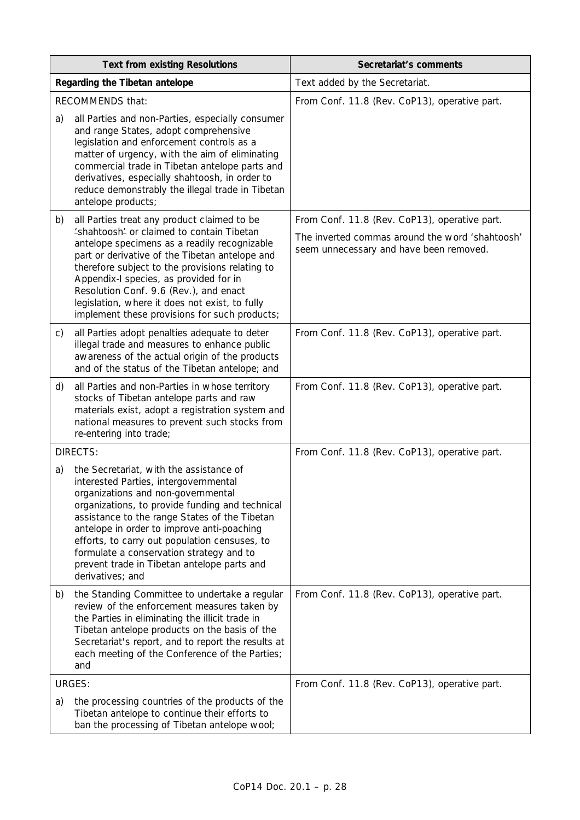| <b>Text from existing Resolutions</b>                                                                                                                                                                                                                                                                                                                                                                                                          | Secretariat's comments                                                                                                                      |
|------------------------------------------------------------------------------------------------------------------------------------------------------------------------------------------------------------------------------------------------------------------------------------------------------------------------------------------------------------------------------------------------------------------------------------------------|---------------------------------------------------------------------------------------------------------------------------------------------|
| Regarding the Tibetan antelope                                                                                                                                                                                                                                                                                                                                                                                                                 | Text added by the Secretariat.                                                                                                              |
| <b>RECOMMENDS that:</b>                                                                                                                                                                                                                                                                                                                                                                                                                        | From Conf. 11.8 (Rev. CoP13), operative part.                                                                                               |
| all Parties and non-Parties, especially consumer<br>a)<br>and range States, adopt comprehensive<br>legislation and enforcement controls as a<br>matter of urgency, with the aim of eliminating<br>commercial trade in Tibetan antelope parts and<br>derivatives, especially shahtoosh, in order to<br>reduce demonstrably the illegal trade in Tibetan<br>antelope products;                                                                   |                                                                                                                                             |
| all Parties treat any product claimed to be<br>b)<br>'shahtoosh' or claimed to contain Tibetan<br>antelope specimens as a readily recognizable<br>part or derivative of the Tibetan antelope and<br>therefore subject to the provisions relating to<br>Appendix-I species, as provided for in<br>Resolution Conf. 9.6 (Rev.), and enact<br>legislation, where it does not exist, to fully<br>implement these provisions for such products;     | From Conf. 11.8 (Rev. CoP13), operative part.<br>The inverted commas around the word 'shahtoosh'<br>seem unnecessary and have been removed. |
| all Parties adopt penalties adequate to deter<br>C)<br>illegal trade and measures to enhance public<br>awareness of the actual origin of the products<br>and of the status of the Tibetan antelope; and                                                                                                                                                                                                                                        | From Conf. 11.8 (Rev. CoP13), operative part.                                                                                               |
| all Parties and non-Parties in whose territory<br>d)<br>stocks of Tibetan antelope parts and raw<br>materials exist, adopt a registration system and<br>national measures to prevent such stocks from<br>re-entering into trade;                                                                                                                                                                                                               | From Conf. 11.8 (Rev. CoP13), operative part.                                                                                               |
| <b>DIRECTS:</b>                                                                                                                                                                                                                                                                                                                                                                                                                                | From Conf. 11.8 (Rev. CoP13), operative part.                                                                                               |
| the Secretariat, with the assistance of<br>a)<br>interested Parties, intergovernmental<br>organizations and non-governmental<br>organizations, to provide funding and technical<br>assistance to the range States of the Tibetan<br>antelope in order to improve anti-poaching<br>efforts, to carry out population censuses, to<br>formulate a conservation strategy and to<br>prevent trade in Tibetan antelope parts and<br>derivatives; and |                                                                                                                                             |
| the Standing Committee to undertake a regular<br>b)<br>review of the enforcement measures taken by<br>the Parties in eliminating the illicit trade in<br>Tibetan antelope products on the basis of the<br>Secretariat's report, and to report the results at<br>each meeting of the Conference of the Parties;<br>and                                                                                                                          | From Conf. 11.8 (Rev. CoP13), operative part.                                                                                               |
| <b>URGES:</b>                                                                                                                                                                                                                                                                                                                                                                                                                                  | From Conf. 11.8 (Rev. CoP13), operative part.                                                                                               |
| the processing countries of the products of the<br>a)<br>Tibetan antelope to continue their efforts to<br>ban the processing of Tibetan antelope wool;                                                                                                                                                                                                                                                                                         |                                                                                                                                             |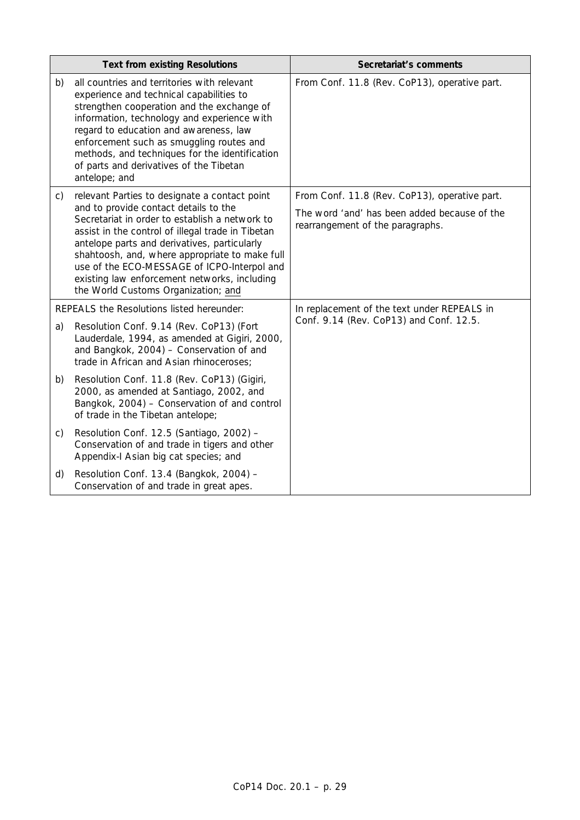| <b>Text from existing Resolutions</b>     |                                                                                                                                                                                                                                                                                                                                                                                                                                       | Secretariat's comments                                                                                                            |
|-------------------------------------------|---------------------------------------------------------------------------------------------------------------------------------------------------------------------------------------------------------------------------------------------------------------------------------------------------------------------------------------------------------------------------------------------------------------------------------------|-----------------------------------------------------------------------------------------------------------------------------------|
| b)                                        | all countries and territories with relevant<br>experience and technical capabilities to<br>strengthen cooperation and the exchange of<br>information, technology and experience with<br>regard to education and awareness, law<br>enforcement such as smuggling routes and<br>methods, and techniques for the identification<br>of parts and derivatives of the Tibetan<br>antelope; and                                              | From Conf. 11.8 (Rev. CoP13), operative part.                                                                                     |
| C)                                        | relevant Parties to designate a contact point<br>and to provide contact details to the<br>Secretariat in order to establish a network to<br>assist in the control of illegal trade in Tibetan<br>antelope parts and derivatives, particularly<br>shahtoosh, and, where appropriate to make full<br>use of the ECO-MESSAGE of ICPO-Interpol and<br>existing law enforcement networks, including<br>the World Customs Organization; and | From Conf. 11.8 (Rev. CoP13), operative part.<br>The word 'and' has been added because of the<br>rearrangement of the paragraphs. |
| REPEALS the Resolutions listed hereunder: |                                                                                                                                                                                                                                                                                                                                                                                                                                       | In replacement of the text under REPEALS in                                                                                       |
| a)                                        | Resolution Conf. 9.14 (Rev. CoP13) (Fort<br>Lauderdale, 1994, as amended at Gigiri, 2000,<br>and Bangkok, 2004) - Conservation of and<br>trade in African and Asian rhinoceroses;                                                                                                                                                                                                                                                     | Conf. 9.14 (Rev. CoP13) and Conf. 12.5.                                                                                           |
| b)                                        | Resolution Conf. 11.8 (Rev. CoP13) (Gigiri,<br>2000, as amended at Santiago, 2002, and<br>Bangkok, 2004) - Conservation of and control<br>of trade in the Tibetan antelope;                                                                                                                                                                                                                                                           |                                                                                                                                   |
| C)                                        | Resolution Conf. 12.5 (Santiago, 2002) -<br>Conservation of and trade in tigers and other<br>Appendix-I Asian big cat species; and                                                                                                                                                                                                                                                                                                    |                                                                                                                                   |
| d)                                        | Resolution Conf. 13.4 (Bangkok, 2004) -<br>Conservation of and trade in great apes.                                                                                                                                                                                                                                                                                                                                                   |                                                                                                                                   |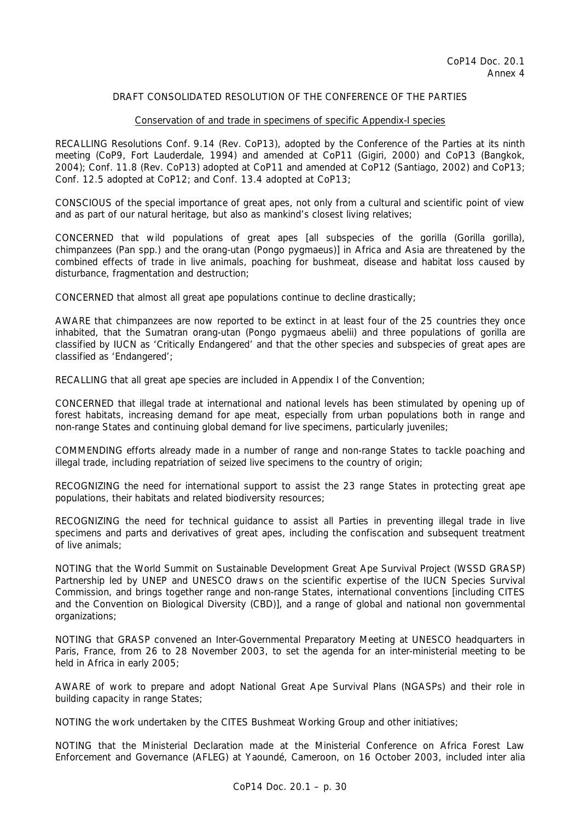#### Conservation of and trade in specimens of specific Appendix-I species

RECALLING Resolutions Conf. 9.14 (Rev. CoP13), adopted by the Conference of the Parties at its ninth meeting (CoP9, Fort Lauderdale, 1994) and amended at CoP11 (Gigiri, 2000) and CoP13 (Bangkok, 2004); Conf. 11.8 (Rev. CoP13) adopted at CoP11 and amended at CoP12 (Santiago, 2002) and CoP13; Conf. 12.5 adopted at CoP12; and Conf. 13.4 adopted at CoP13;

CONSCIOUS of the special importance of great apes, not only from a cultural and scientific point of view and as part of our natural heritage, but also as mankind's closest living relatives;

CONCERNED that wild populations of great apes [all subspecies of the gorilla (*Gorilla gorilla*)*,*  chimpanzees (*Pan* spp.) and the orang-utan (*Pongo pygmaeus*)] in Africa and Asia are threatened by the combined effects of trade in live animals, poaching for bushmeat, disease and habitat loss caused by disturbance, fragmentation and destruction;

CONCERNED that almost all great ape populations continue to decline drastically;

AWARE that chimpanzees are now reported to be extinct in at least four of the 25 countries they once inhabited, that the Sumatran orang-utan (*Pongo pygmaeus abelii*) and three populations of gorilla are classified by IUCN as 'Critically Endangered' and that the other species and subspecies of great apes are classified as 'Endangered';

RECALLING that all great ape species are included in Appendix I of the Convention;

CONCERNED that illegal trade at international and national levels has been stimulated by opening up of forest habitats, increasing demand for ape meat, especially from urban populations both in range and non-range States and continuing global demand for live specimens, particularly juveniles;

COMMENDING efforts already made in a number of range and non-range States to tackle poaching and illegal trade, including repatriation of seized live specimens to the country of origin;

RECOGNIZING the need for international support to assist the 23 range States in protecting great ape populations, their habitats and related biodiversity resources;

RECOGNIZING the need for technical guidance to assist all Parties in preventing illegal trade in live specimens and parts and derivatives of great apes, including the confiscation and subsequent treatment of live animals;

NOTING that the World Summit on Sustainable Development Great Ape Survival Project (WSSD GRASP) Partnership led by UNEP and UNESCO draws on the scientific expertise of the IUCN Species Survival Commission, and brings together range and non-range States, international conventions [including CITES and the Convention on Biological Diversity (CBD)], and a range of global and national non governmental organizations;

NOTING that GRASP convened an Inter-Governmental Preparatory Meeting at UNESCO headquarters in Paris, France, from 26 to 28 November 2003, to set the agenda for an inter-ministerial meeting to be held in Africa in early 2005;

AWARE of work to prepare and adopt National Great Ape Survival Plans (NGASPs) and their role in building capacity in range States;

NOTING the work undertaken by the CITES Bushmeat Working Group and other initiatives;

NOTING that the Ministerial Declaration made at the Ministerial Conference on Africa Forest Law Enforcement and Governance (AFLEG) at Yaoundé, Cameroon, on 16 October 2003, included *inter alia*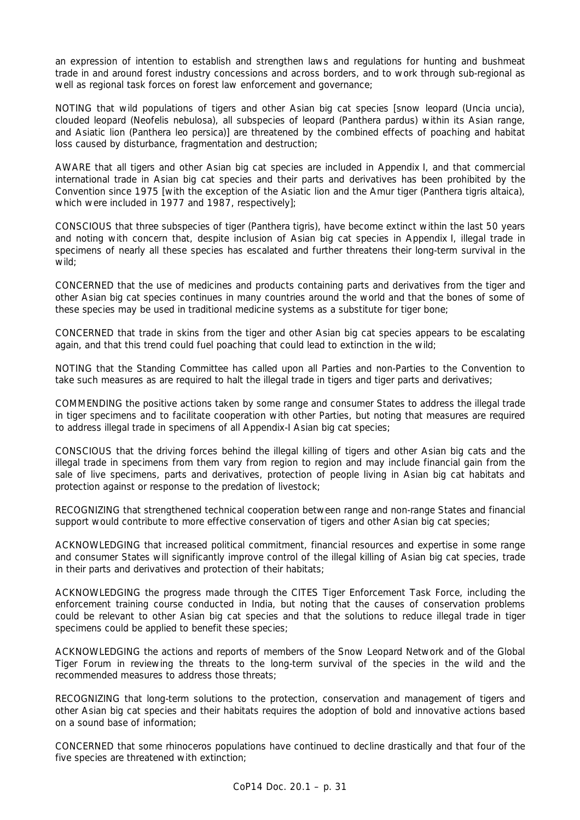an expression of intention to establish and strengthen laws and regulations for hunting and bushmeat trade in and around forest industry concessions and across borders, and to work through sub-regional as well as regional task forces on forest law enforcement and governance;

NOTING that wild populations of tigers and other Asian big cat species [snow leopard *(Uncia uncia)*, clouded leopard *(Neofelis nebulosa)*, all subspecies of leopard *(Panthera pardus)* within its Asian range, and Asiatic lion *(Panthera leo persica*)] are threatened by the combined effects of poaching and habitat loss caused by disturbance, fragmentation and destruction;

AWARE that all tigers and other Asian big cat species are included in Appendix I, and that commercial international trade in Asian big cat species and their parts and derivatives has been prohibited by the Convention since 1975 [with the exception of the Asiatic lion and the Amur tiger *(Panthera tigris altaica)*, which were included in 1977 and 1987, respectively];

CONSCIOUS that three subspecies of tiger *(Panthera tigris)*, have become extinct within the last 50 years and noting with concern that, despite inclusion of Asian big cat species in Appendix I, illegal trade in specimens of nearly all these species has escalated and further threatens their long-term survival in the wild;

CONCERNED that the use of medicines and products containing parts and derivatives from the tiger and other Asian big cat species continues in many countries around the world and that the bones of some of these species may be used in traditional medicine systems as a substitute for tiger bone;

CONCERNED that trade in skins from the tiger and other Asian big cat species appears to be escalating again, and that this trend could fuel poaching that could lead to extinction in the wild;

NOTING that the Standing Committee has called upon all Parties and non-Parties to the Convention to take such measures as are required to halt the illegal trade in tigers and tiger parts and derivatives;

COMMENDING the positive actions taken by some range and consumer States to address the illegal trade in tiger specimens and to facilitate cooperation with other Parties, but noting that measures are required to address illegal trade in specimens of all Appendix-I Asian big cat species;

CONSCIOUS that the driving forces behind the illegal killing of tigers and other Asian big cats and the illegal trade in specimens from them vary from region to region and may include financial gain from the sale of live specimens, parts and derivatives, protection of people living in Asian big cat habitats and protection against or response to the predation of livestock;

RECOGNIZING that strengthened technical cooperation between range and non-range States and financial support would contribute to more effective conservation of tigers and other Asian big cat species;

ACKNOWLEDGING that increased political commitment, financial resources and expertise in some range and consumer States will significantly improve control of the illegal killing of Asian big cat species, trade in their parts and derivatives and protection of their habitats;

ACKNOWLEDGING the progress made through the CITES Tiger Enforcement Task Force, including the enforcement training course conducted in India, but noting that the causes of conservation problems could be relevant to other Asian big cat species and that the solutions to reduce illegal trade in tiger specimens could be applied to benefit these species;

ACKNOWLEDGING the actions and reports of members of the Snow Leopard Network and of the Global Tiger Forum in reviewing the threats to the long-term survival of the species in the wild and the recommended measures to address those threats;

RECOGNIZING that long-term solutions to the protection, conservation and management of tigers and other Asian big cat species and their habitats requires the adoption of bold and innovative actions based on a sound base of information;

CONCERNED that some rhinoceros populations have continued to decline drastically and that four of the five species are threatened with extinction;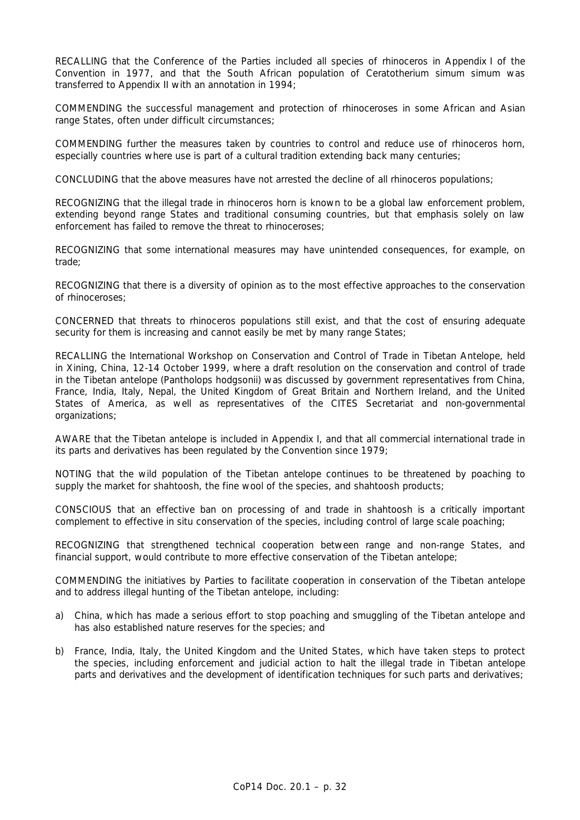RECALLING that the Conference of the Parties included all species of rhinoceros in Appendix I of the Convention in 1977, and that the South African population of *Ceratotherium simum simum* was transferred to Appendix II with an annotation in 1994;

COMMENDING the successful management and protection of rhinoceroses in some African and Asian range States, often under difficult circumstances;

COMMENDING further the measures taken by countries to control and reduce use of rhinoceros horn, especially countries where use is part of a cultural tradition extending back many centuries;

CONCLUDING that the above measures have not arrested the decline of all rhinoceros populations;

RECOGNIZING that the illegal trade in rhinoceros horn is known to be a global law enforcement problem, extending beyond range States and traditional consuming countries, but that emphasis solely on law enforcement has failed to remove the threat to rhinoceroses;

RECOGNIZING that some international measures may have unintended consequences, for example, on trade;

RECOGNIZING that there is a diversity of opinion as to the most effective approaches to the conservation of rhinoceroses;

CONCERNED that threats to rhinoceros populations still exist, and that the cost of ensuring adequate security for them is increasing and cannot easily be met by many range States;

RECALLING the International Workshop on Conservation and Control of Trade in Tibetan Antelope, held in Xining, China, 12-14 October 1999, where a draft resolution on the conservation and control of trade in the Tibetan antelope *(Pantholops hodgsonii)* was discussed by government representatives from China, France, India, Italy, Nepal, the United Kingdom of Great Britain and Northern Ireland, and the United States of America, as well as representatives of the CITES Secretariat and non-governmental organizations;

AWARE that the Tibetan antelope is included in Appendix I, and that all commercial international trade in its parts and derivatives has been regulated by the Convention since 1979;

NOTING that the wild population of the Tibetan antelope continues to be threatened by poaching to supply the market for shahtoosh, the fine wool of the species, and shahtoosh products;

CONSCIOUS that an effective ban on processing of and trade in shahtoosh is a critically important complement to effective *in situ* conservation of the species, including control of large scale poaching;

RECOGNIZING that strengthened technical cooperation between range and non-range States, and financial support, would contribute to more effective conservation of the Tibetan antelope;

COMMENDING the initiatives by Parties to facilitate cooperation in conservation of the Tibetan antelope and to address illegal hunting of the Tibetan antelope, including:

- a) China, which has made a serious effort to stop poaching and smuggling of the Tibetan antelope and has also established nature reserves for the species; and
- b) France, India, Italy, the United Kingdom and the United States, which have taken steps to protect the species, including enforcement and judicial action to halt the illegal trade in Tibetan antelope parts and derivatives and the development of identification techniques for such parts and derivatives;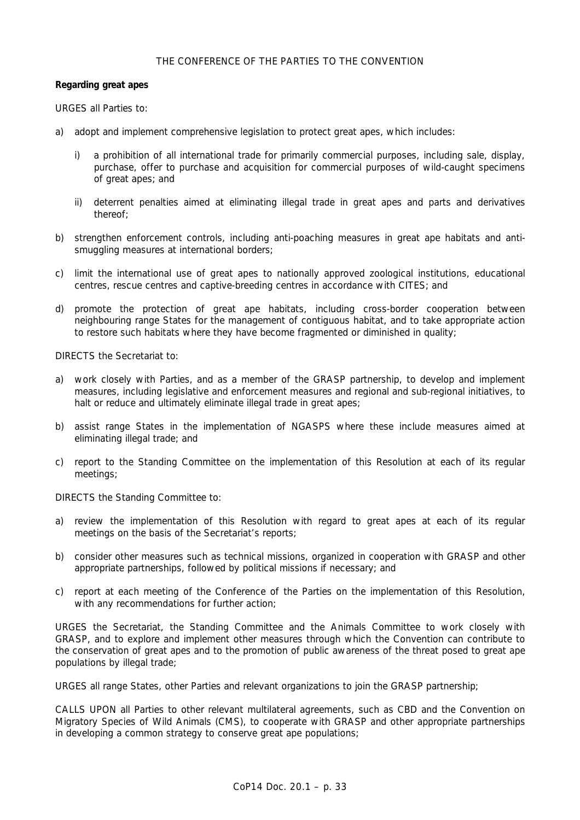## THE CONFERENCE OF THE PARTIES TO THE CONVENTION

## *Regarding great apes*

URGES all Parties to:

- a) adopt and implement comprehensive legislation to protect great apes, which includes:
	- i) a prohibition of all international trade for primarily commercial purposes, including sale, display, purchase, offer to purchase and acquisition for commercial purposes of wild-caught specimens of great apes; and
	- ii) deterrent penalties aimed at eliminating illegal trade in great apes and parts and derivatives thereof;
- b) strengthen enforcement controls, including anti-poaching measures in great ape habitats and antismuggling measures at international borders;
- c) limit the international use of great apes to nationally approved zoological institutions, educational centres, rescue centres and captive-breeding centres in accordance with CITES; and
- d) promote the protection of great ape habitats, including cross-border cooperation between neighbouring range States for the management of contiguous habitat, and to take appropriate action to restore such habitats where they have become fragmented or diminished in quality;

DIRECTS the Secretariat to:

- a) work closely with Parties, and as a member of the GRASP partnership, to develop and implement measures, including legislative and enforcement measures and regional and sub-regional initiatives, to halt or reduce and ultimately eliminate illegal trade in great apes;
- b) assist range States in the implementation of NGASPS where these include measures aimed at eliminating illegal trade; and
- c) report to the Standing Committee on the implementation of this Resolution at each of its regular meetings;

DIRECTS the Standing Committee to:

- a) review the implementation of this Resolution with regard to great apes at each of its regular meetings on the basis of the Secretariat's reports;
- b) consider other measures such as technical missions, organized in cooperation with GRASP and other appropriate partnerships, followed by political missions if necessary; and
- c) report at each meeting of the Conference of the Parties on the implementation of this Resolution, with any recommendations for further action;

URGES the Secretariat, the Standing Committee and the Animals Committee to work closely with GRASP, and to explore and implement other measures through which the Convention can contribute to the conservation of great apes and to the promotion of public awareness of the threat posed to great ape populations by illegal trade;

URGES all range States, other Parties and relevant organizations to join the GRASP partnership;

CALLS UPON all Parties to other relevant multilateral agreements, such as CBD and the Convention on Migratory Species of Wild Animals (CMS), to cooperate with GRASP and other appropriate partnerships in developing a common strategy to conserve great ape populations;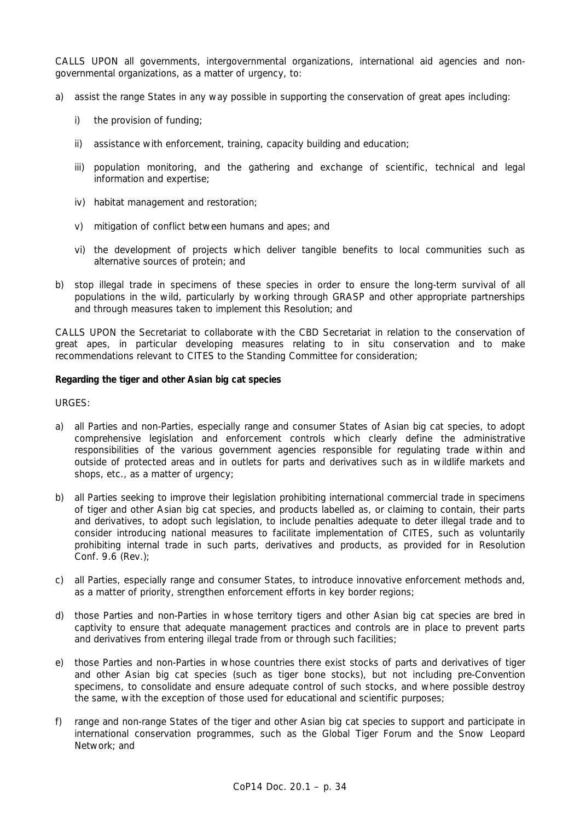CALLS UPON all governments, intergovernmental organizations, international aid agencies and nongovernmental organizations, as a matter of urgency, to:

- a) assist the range States in any way possible in supporting the conservation of great apes including:
	- i) the provision of funding:
	- ii) assistance with enforcement, training, capacity building and education;
	- iii) population monitoring, and the gathering and exchange of scientific, technical and legal information and expertise;
	- iv) habitat management and restoration;
	- v) mitigation of conflict between humans and apes; and
	- vi) the development of projects which deliver tangible benefits to local communities such as alternative sources of protein; and
- b) stop illegal trade in specimens of these species in order to ensure the long-term survival of all populations in the wild, particularly by working through GRASP and other appropriate partnerships and through measures taken to implement this Resolution; and

CALLS UPON the Secretariat to collaborate with the CBD Secretariat in relation to the conservation of great apes, in particular developing measures relating to *in situ* conservation and to make recommendations relevant to CITES to the Standing Committee for consideration;

#### *Regarding the tiger and other Asian big cat species*

URGES:

- a) all Parties and non-Parties, especially range and consumer States of Asian big cat species, to adopt comprehensive legislation and enforcement controls which clearly define the administrative responsibilities of the various government agencies responsible for regulating trade within and outside of protected areas and in outlets for parts and derivatives such as in wildlife markets and shops, etc., as a matter of urgency;
- b) all Parties seeking to improve their legislation prohibiting international commercial trade in specimens of tiger and other Asian big cat species, and products labelled as, or claiming to contain, their parts and derivatives, to adopt such legislation, to include penalties adequate to deter illegal trade and to consider introducing national measures to facilitate implementation of CITES, such as voluntarily prohibiting internal trade in such parts, derivatives and products, as provided for in Resolution Conf. 9.6 (Rev.);
- c) all Parties, especially range and consumer States, to introduce innovative enforcement methods and, as a matter of priority, strengthen enforcement efforts in key border regions;
- d) those Parties and non-Parties in whose territory tigers and other Asian big cat species are bred in captivity to ensure that adequate management practices and controls are in place to prevent parts and derivatives from entering illegal trade from or through such facilities;
- e) those Parties and non-Parties in whose countries there exist stocks of parts and derivatives of tiger and other Asian big cat species (such as tiger bone stocks), but not including pre-Convention specimens, to consolidate and ensure adequate control of such stocks, and where possible destroy the same, with the exception of those used for educational and scientific purposes;
- f) range and non-range States of the tiger and other Asian big cat species to support and participate in international conservation programmes, such as the Global Tiger Forum and the Snow Leopard Network; and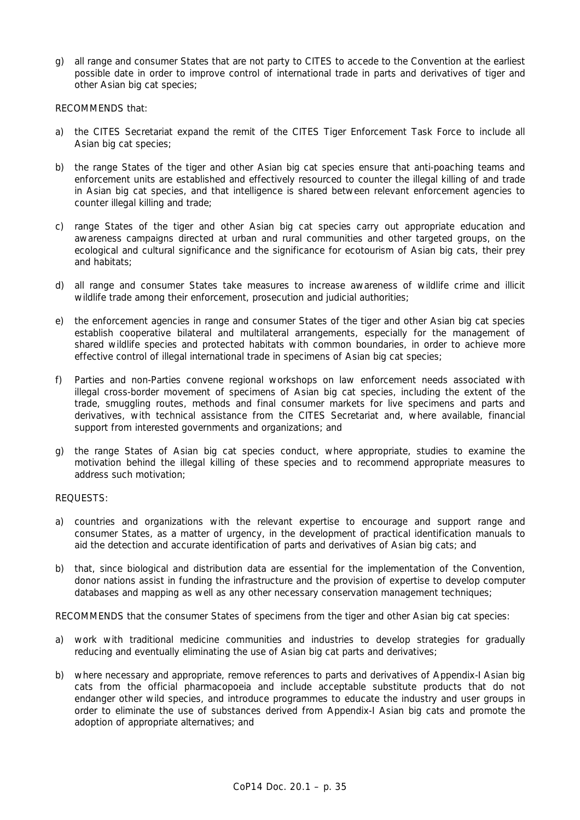g) all range and consumer States that are not party to CITES to accede to the Convention at the earliest possible date in order to improve control of international trade in parts and derivatives of tiger and other Asian big cat species;

RECOMMENDS that:

- a) the CITES Secretariat expand the remit of the CITES Tiger Enforcement Task Force to include all Asian big cat species;
- b) the range States of the tiger and other Asian big cat species ensure that anti-poaching teams and enforcement units are established and effectively resourced to counter the illegal killing of and trade in Asian big cat species, and that intelligence is shared between relevant enforcement agencies to counter illegal killing and trade;
- c) range States of the tiger and other Asian big cat species carry out appropriate education and awareness campaigns directed at urban and rural communities and other targeted groups, on the ecological and cultural significance and the significance for ecotourism of Asian big cats, their prey and habitats;
- d) all range and consumer States take measures to increase awareness of wildlife crime and illicit wildlife trade among their enforcement, prosecution and judicial authorities;
- e) the enforcement agencies in range and consumer States of the tiger and other Asian big cat species establish cooperative bilateral and multilateral arrangements, especially for the management of shared wildlife species and protected habitats with common boundaries, in order to achieve more effective control of illegal international trade in specimens of Asian big cat species;
- f) Parties and non-Parties convene regional workshops on law enforcement needs associated with illegal cross-border movement of specimens of Asian big cat species, including the extent of the trade, smuggling routes, methods and final consumer markets for live specimens and parts and derivatives, with technical assistance from the CITES Secretariat and, where available, financial support from interested governments and organizations; and
- g) the range States of Asian big cat species conduct, where appropriate, studies to examine the motivation behind the illegal killing of these species and to recommend appropriate measures to address such motivation;

## REQUESTS:

- a) countries and organizations with the relevant expertise to encourage and support range and consumer States, as a matter of urgency, in the development of practical identification manuals to aid the detection and accurate identification of parts and derivatives of Asian big cats; and
- b) that, since biological and distribution data are essential for the implementation of the Convention, donor nations assist in funding the infrastructure and the provision of expertise to develop computer databases and mapping as well as any other necessary conservation management techniques;

RECOMMENDS that the consumer States of specimens from the tiger and other Asian big cat species:

- a) work with traditional medicine communities and industries to develop strategies for gradually reducing and eventually eliminating the use of Asian big cat parts and derivatives;
- b) where necessary and appropriate, remove references to parts and derivatives of Appendix-I Asian big cats from the official pharmacopoeia and include acceptable substitute products that do not endanger other wild species, and introduce programmes to educate the industry and user groups in order to eliminate the use of substances derived from Appendix-I Asian big cats and promote the adoption of appropriate alternatives; and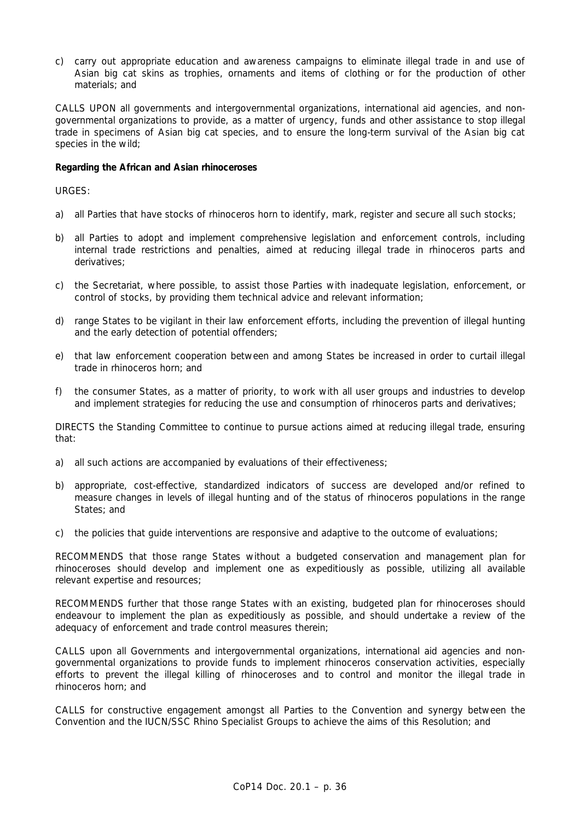c) carry out appropriate education and awareness campaigns to eliminate illegal trade in and use of Asian big cat skins as trophies, ornaments and items of clothing or for the production of other materials; and

CALLS UPON all governments and intergovernmental organizations, international aid agencies, and nongovernmental organizations to provide, as a matter of urgency, funds and other assistance to stop illegal trade in specimens of Asian big cat species, and to ensure the long-term survival of the Asian big cat species in the wild;

#### *Regarding the African and Asian rhinoceroses*

URGES:

- a) all Parties that have stocks of rhinoceros horn to identify, mark, register and secure all such stocks;
- b) all Parties to adopt and implement comprehensive legislation and enforcement controls, including internal trade restrictions and penalties, aimed at reducing illegal trade in rhinoceros parts and derivatives;
- c) the Secretariat, where possible, to assist those Parties with inadequate legislation, enforcement, or control of stocks, by providing them technical advice and relevant information;
- d) range States to be vigilant in their law enforcement efforts, including the prevention of illegal hunting and the early detection of potential offenders;
- e) that law enforcement cooperation between and among States be increased in order to curtail illegal trade in rhinoceros horn; and
- f) the consumer States, as a matter of priority, to work with all user groups and industries to develop and implement strategies for reducing the use and consumption of rhinoceros parts and derivatives;

DIRECTS the Standing Committee to continue to pursue actions aimed at reducing illegal trade, ensuring that:

- a) all such actions are accompanied by evaluations of their effectiveness;
- b) appropriate, cost-effective, standardized indicators of success are developed and/or refined to measure changes in levels of illegal hunting and of the status of rhinoceros populations in the range States; and
- c) the policies that guide interventions are responsive and adaptive to the outcome of evaluations;

RECOMMENDS that those range States without a budgeted conservation and management plan for rhinoceroses should develop and implement one as expeditiously as possible, utilizing all available relevant expertise and resources;

RECOMMENDS further that those range States with an existing, budgeted plan for rhinoceroses should endeavour to implement the plan as expeditiously as possible, and should undertake a review of the adequacy of enforcement and trade control measures therein;

CALLS upon all Governments and intergovernmental organizations, international aid agencies and nongovernmental organizations to provide funds to implement rhinoceros conservation activities, especially efforts to prevent the illegal killing of rhinoceroses and to control and monitor the illegal trade in rhinoceros horn; and

CALLS for constructive engagement amongst all Parties to the Convention and synergy between the Convention and the IUCN/SSC Rhino Specialist Groups to achieve the aims of this Resolution; and